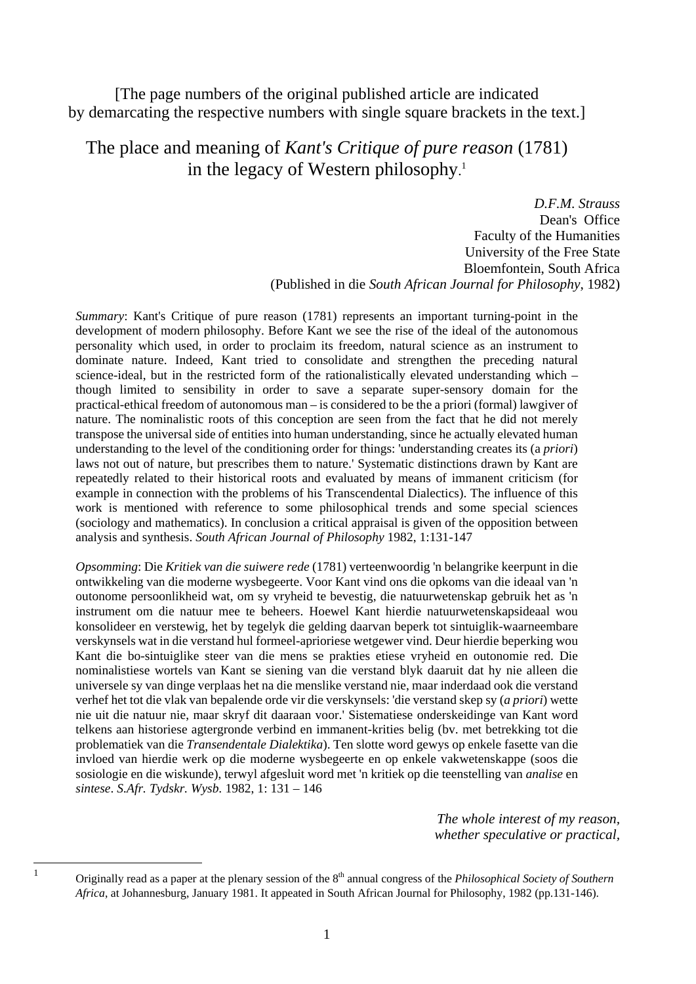[The page numbers of the original published article are indicated by demarcating the respective numbers with single square brackets in the text.]

# The place and meaning of *Kant's Critique of pure reason* (1781) in the legacy of Western philosophy. 1

*D.F.M. Strauss* Dean's Office Faculty of the Humanities University of the Free State Bloemfontein, South Africa (Published in die *South African Journal for Philosophy*, 1982)

*Summary*: Kant's Critique of pure reason (1781) represents an important turning-point in the development of modern philosophy. Before Kant we see the rise of the ideal of the autonomous personality which used, in order to proclaim its freedom, natural science as an instrument to dominate nature. Indeed, Kant tried to consolidate and strengthen the preceding natural science-ideal, but in the restricted form of the rationalistically elevated understanding which – though limited to sensibility in order to save a separate super-sensory domain for the practical-ethical freedom of autonomous man – is considered to be the a priori (formal) lawgiver of nature. The nominalistic roots of this conception are seen from the fact that he did not merely transpose the universal side of entities into human understanding, since he actually elevated human understanding to the level of the conditioning order for things: 'understanding creates its (a *priori*) laws not out of nature, but prescribes them to nature.' Systematic distinctions drawn by Kant are repeatedly related to their historical roots and evaluated by means of immanent criticism (for example in connection with the problems of his Transcendental Dialectics). The influence of this work is mentioned with reference to some philosophical trends and some special sciences (sociology and mathematics). In conclusion a critical appraisal is given of the opposition between analysis and synthesis. *South African Journal of Philosophy* 1982, 1:131-147

*Opsomming*: Die *Kritiek van die suiwere rede* (1781) verteenwoordig 'n belangrike keerpunt in die ontwikkeling van die moderne wysbegeerte. Voor Kant vind ons die opkoms van die ideaal van 'n outonome persoonlikheid wat, om sy vryheid te bevestig, die natuurwetenskap gebruik het as 'n instrument om die natuur mee te beheers. Hoewel Kant hierdie natuurwetenskapsideaal wou konsolideer en verstewig, het by tegelyk die gelding daarvan beperk tot sintuiglik-waarneembare verskynsels wat in die verstand hul formeel-aprioriese wetgewer vind. Deur hierdie beperking wou Kant die bo-sintuiglike steer van die mens se prakties etiese vryheid en outonomie red. Die nominalistiese wortels van Kant se siening van die verstand blyk daaruit dat hy nie alleen die universele sy van dinge verplaas het na die menslike verstand nie, maar inderdaad ook die verstand verhef het tot die vlak van bepalende orde vir die verskynsels: 'die verstand skep sy (*a priori*) wette nie uit die natuur nie, maar skryf dit daaraan voor.' Sistematiese onderskeidinge van Kant word telkens aan historiese agtergronde verbind en immanent-krities belig (bv. met betrekking tot die problematiek van die *Transendentale Dialektika*). Ten slotte word gewys op enkele fasette van die invloed van hierdie werk op die moderne wysbegeerte en op enkele vakwetenskappe (soos die sosiologie en die wiskunde), terwyl afgesluit word met 'n kritiek op die teenstelling van *analise* en *sintese*. *S.Afr. Tydskr. Wysb.* 1982, 1: 131 – 146

> *The whole interest of my reason, whether speculative or practical,*

 $\,1\,$ 

<sup>1</sup> Originally read as a paper at the plenary session of the 8th annual congress of the *Philosophical Society of Southern Africa*, at Johannesburg, January 1981. It appeated in South African Journal for Philosophy, 1982 (pp.131-146).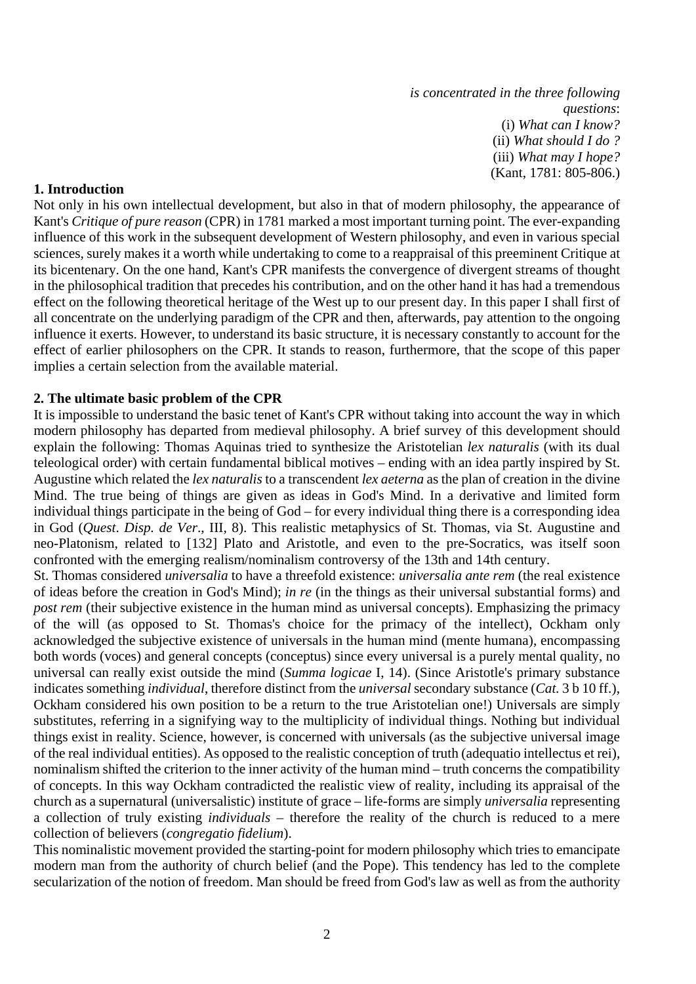*is concentrated in the three following questions*: (i) *What can I know?* (ii) *What should I do ?* (iii) *What may I hope?* (Kant, 1781: 805-806.)

#### **1. Introduction**

Not only in his own intellectual development, but also in that of modern philosophy, the appearance of Kant's *Critique of pure reason* (CPR) in 1781 marked a most important turning point. The ever-expanding influence of this work in the subsequent development of Western philosophy, and even in various special sciences, surely makes it a worth while undertaking to come to a reappraisal of this preeminent Critique at its bicentenary. On the one hand, Kant's CPR manifests the convergence of divergent streams of thought in the philosophical tradition that precedes his contribution, and on the other hand it has had a tremendous effect on the following theoretical heritage of the West up to our present day. In this paper I shall first of all concentrate on the underlying paradigm of the CPR and then, afterwards, pay attention to the ongoing influence it exerts. However, to understand its basic structure, it is necessary constantly to account for the effect of earlier philosophers on the CPR. It stands to reason, furthermore, that the scope of this paper implies a certain selection from the available material.

#### **2. The ultimate basic problem of the CPR**

It is impossible to understand the basic tenet of Kant's CPR without taking into account the way in which modern philosophy has departed from medieval philosophy. A brief survey of this development should explain the following: Thomas Aquinas tried to synthesize the Aristotelian *lex naturalis* (with its dual teleological order) with certain fundamental biblical motives – ending with an idea partly inspired by St. Augustine which related the *lex naturalis* to a transcendent *lex aeterna* as the plan of creation in the divine Mind. The true being of things are given as ideas in God's Mind. In a derivative and limited form individual things participate in the being of God – for every individual thing there is a corresponding idea in God (*Quest*. *Disp. de Ver*., III, 8). This realistic metaphysics of St. Thomas, via St. Augustine and neo-Platonism, related to [132] Plato and Aristotle, and even to the pre-Socratics, was itself soon confronted with the emerging realism/nominalism controversy of the 13th and 14th century.

St. Thomas considered *universalia* to have a threefold existence: *universalia ante rem* (the real existence of ideas before the creation in God's Mind); *in re* (in the things as their universal substantial forms) and *post rem* (their subjective existence in the human mind as universal concepts). Emphasizing the primacy of the will (as opposed to St. Thomas's choice for the primacy of the intellect), Ockham only acknowledged the subjective existence of universals in the human mind (mente humana), encompassing both words (voces) and general concepts (conceptus) since every universal is a purely mental quality, no universal can really exist outside the mind (*Summa logicae* I, 14). (Since Aristotle's primary substance indicates something *individual*, therefore distinct from the *universal* secondary substance (*Cat.* 3 b 10 ff.), Ockham considered his own position to be a return to the true Aristotelian one!) Universals are simply substitutes, referring in a signifying way to the multiplicity of individual things. Nothing but individual things exist in reality. Science, however, is concerned with universals (as the subjective universal image of the real individual entities). As opposed to the realistic conception of truth (adequatio intellectus et rei), nominalism shifted the criterion to the inner activity of the human mind – truth concerns the compatibility of concepts. In this way Ockham contradicted the realistic view of reality, including its appraisal of the church as a supernatural (universalistic) institute of grace – life-forms are simply *universalia* representing a collection of truly existing *individuals* – therefore the reality of the church is reduced to a mere collection of believers (*congregatio fidelium*).

This nominalistic movement provided the starting-point for modern philosophy which tries to emancipate modern man from the authority of church belief (and the Pope). This tendency has led to the complete secularization of the notion of freedom. Man should be freed from God's law as well as from the authority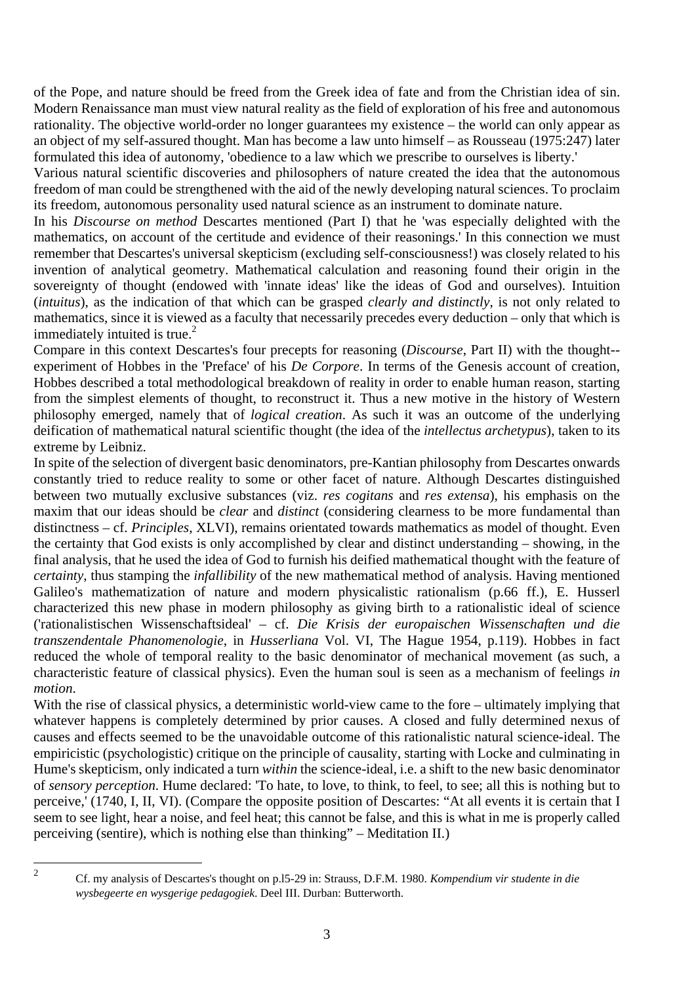of the Pope, and nature should be freed from the Greek idea of fate and from the Christian idea of sin. Modern Renaissance man must view natural reality as the field of exploration of his free and autonomous rationality. The objective world-order no longer guarantees my existence – the world can only appear as an object of my self-assured thought. Man has become a law unto himself – as Rousseau (1975:247) later formulated this idea of autonomy, 'obedience to a law which we prescribe to ourselves is liberty.'

Various natural scientific discoveries and philosophers of nature created the idea that the autonomous freedom of man could be strengthened with the aid of the newly developing natural sciences. To proclaim its freedom, autonomous personality used natural science as an instrument to dominate nature.

In his *Discourse on method* Descartes mentioned (Part I) that he 'was especially delighted with the mathematics, on account of the certitude and evidence of their reasonings.' In this connection we must remember that Descartes's universal skepticism (excluding self-consciousness!) was closely related to his invention of analytical geometry. Mathematical calculation and reasoning found their origin in the sovereignty of thought (endowed with 'innate ideas' like the ideas of God and ourselves). Intuition (*intuitus*), as the indication of that which can be grasped *clearly and distinctly*, is not only related to mathematics, since it is viewed as a faculty that necessarily precedes every deduction – only that which is immediately intuited is true. $^{2}$ 

Compare in this context Descartes's four precepts for reasoning (*Discourse*, Part II) with the thought- experiment of Hobbes in the 'Preface' of his *De Corpore*. In terms of the Genesis account of creation, Hobbes described a total methodological breakdown of reality in order to enable human reason, starting from the simplest elements of thought, to reconstruct it. Thus a new motive in the history of Western philosophy emerged, namely that of *logical creation*. As such it was an outcome of the underlying deification of mathematical natural scientific thought (the idea of the *intellectus archetypus*), taken to its extreme by Leibniz.

In spite of the selection of divergent basic denominators, pre-Kantian philosophy from Descartes onwards constantly tried to reduce reality to some or other facet of nature. Although Descartes distinguished between two mutually exclusive substances (viz. *res cogitans* and *res extensa*), his emphasis on the maxim that our ideas should be *clear* and *distinct* (considering clearness to be more fundamental than distinctness – cf. *Principles*, XLVI), remains orientated towards mathematics as model of thought. Even the certainty that God exists is only accomplished by clear and distinct understanding – showing, in the final analysis, that he used the idea of God to furnish his deified mathematical thought with the feature of *certainty*, thus stamping the *infallibility* of the new mathematical method of analysis. Having mentioned Galileo's mathematization of nature and modern physicalistic rationalism (p.66 ff.), E. Husserl characterized this new phase in modern philosophy as giving birth to a rationalistic ideal of science ('rationalistischen Wissenschaftsideal' – cf. *Die Krisis der europaischen Wissenschaften und die transzendentale Phanomenologie*, in *Husserliana* Vol. VI, The Hague 1954, p.119). Hobbes in fact reduced the whole of temporal reality to the basic denominator of mechanical movement (as such, a characteristic feature of classical physics). Even the human soul is seen as a mechanism of feelings *in motion*.

With the rise of classical physics, a deterministic world-view came to the fore – ultimately implying that whatever happens is completely determined by prior causes. A closed and fully determined nexus of causes and effects seemed to be the unavoidable outcome of this rationalistic natural science-ideal. The empiricistic (psychologistic) critique on the principle of causality, starting with Locke and culminating in Hume's skepticism, only indicated a turn *within* the science-ideal, i.e. a shift to the new basic denominator of *sensory perception*. Hume declared: 'To hate, to love, to think, to feel, to see; all this is nothing but to perceive,' (1740, I, II, VI). (Compare the opposite position of Descartes: "At all events it is certain that I seem to see light, hear a noise, and feel heat; this cannot be false, and this is what in me is properly called perceiving (sentire), which is nothing else than thinking" – Meditation II.)

 $\overline{2}$ 

<sup>2</sup> Cf. my analysis of Descartes's thought on p.l5-29 in: Strauss, D.F.M. 1980. *Kompendium vir studente in die wysbegeerte en wysgerige pedagogiek*. Deel III. Durban: Butterworth.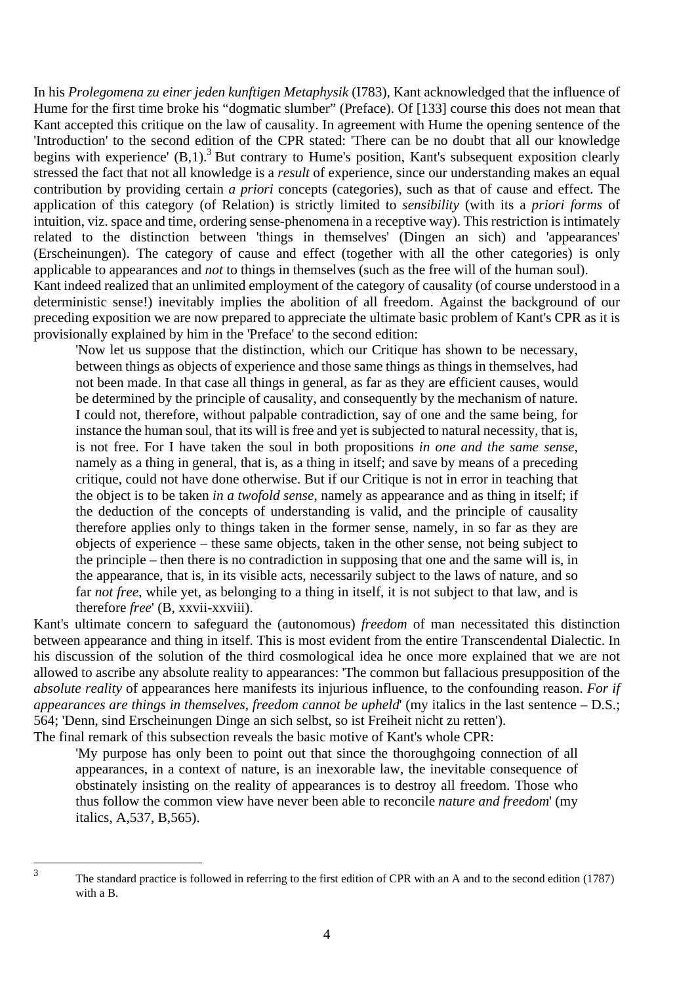In his *Prolegomena zu einer jeden kunftigen Metaphysik* (I783), Kant acknowledged that the influence of Hume for the first time broke his "dogmatic slumber" (Preface). Of [133] course this does not mean that Kant accepted this critique on the law of causality. In agreement with Hume the opening sentence of the 'Introduction' to the second edition of the CPR stated: 'There can be no doubt that all our knowledge begins with experience'  $(B,1)$ .<sup>3</sup> But contrary to Hume's position, Kant's subsequent exposition clearly stressed the fact that not all knowledge is a *result* of experience, since our understanding makes an equal contribution by providing certain *a priori* concepts (categories), such as that of cause and effect. The application of this category (of Relation) is strictly limited to *sensibility* (with its a *priori forms* of intuition, viz. space and time, ordering sense-phenomena in a receptive way). This restriction is intimately related to the distinction between 'things in themselves' (Dingen an sich) and 'appearances' (Erscheinungen). The category of cause and effect (together with all the other categories) is only applicable to appearances and *not* to things in themselves (such as the free will of the human soul). Kant indeed realized that an unlimited employment of the category of causality (of course understood in a deterministic sense!) inevitably implies the abolition of all freedom. Against the background of our preceding exposition we are now prepared to appreciate the ultimate basic problem of Kant's CPR as it is provisionally explained by him in the 'Preface' to the second edition:

'Now let us suppose that the distinction, which our Critique has shown to be necessary, between things as objects of experience and those same things as things in themselves, had not been made. In that case all things in general, as far as they are efficient causes, would be determined by the principle of causality, and consequently by the mechanism of nature. I could not, therefore, without palpable contradiction, say of one and the same being, for instance the human soul, that its will is free and yet is subjected to natural necessity, that is, is not free. For I have taken the soul in both propositions *in one and the same sense*, namely as a thing in general, that is, as a thing in itself; and save by means of a preceding critique, could not have done otherwise. But if our Critique is not in error in teaching that the object is to be taken *in a twofold sense*, namely as appearance and as thing in itself; if the deduction of the concepts of understanding is valid, and the principle of causality therefore applies only to things taken in the former sense, namely, in so far as they are objects of experience – these same objects, taken in the other sense, not being subject to the principle – then there is no contradiction in supposing that one and the same will is, in the appearance, that is, in its visible acts, necessarily subject to the laws of nature, and so far *not free*, while yet, as belonging to a thing in itself, it is not subject to that law, and is therefore *free*' (B, xxvii-xxviii).

Kant's ultimate concern to safeguard the (autonomous) *freedom* of man necessitated this distinction between appearance and thing in itself. This is most evident from the entire Transcendental Dialectic. In his discussion of the solution of the third cosmological idea he once more explained that we are not allowed to ascribe any absolute reality to appearances: 'The common but fallacious presupposition of the *absolute reality* of appearances here manifests its injurious influence, to the confounding reason. *For if appearances are things in themselves*, *freedom cannot be upheld*' (my italics in the last sentence – D.S.; 564; 'Denn, sind Erscheinungen Dinge an sich selbst, so ist Freiheit nicht zu retten'). The final remark of this subsection reveals the basic motive of Kant's whole CPR:

'My purpose has only been to point out that since the thoroughgoing connection of all appearances, in a context of nature, is an inexorable law, the inevitable consequence of obstinately insisting on the reality of appearances is to destroy all freedom. Those who thus follow the common view have never been able to reconcile *nature and freedom*' (my italics, A,537, B,565).

 $\overline{3}$ <sup>3</sup> The standard practice is followed in referring to the first edition of CPR with an A and to the second edition (1787) with a **B**.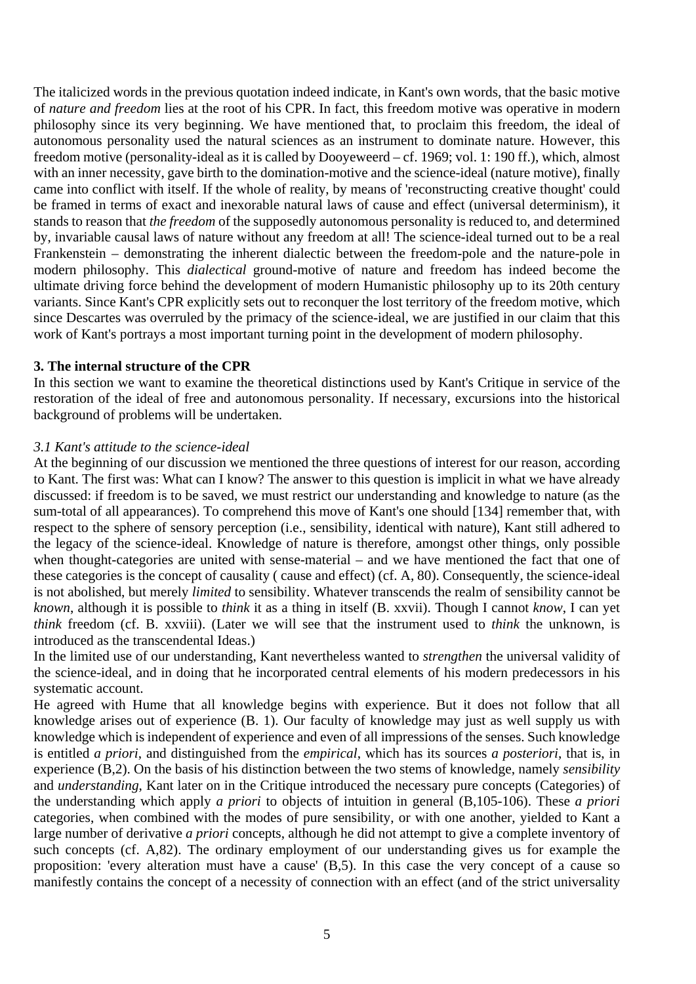The italicized words in the previous quotation indeed indicate, in Kant's own words, that the basic motive of *nature and freedom* lies at the root of his CPR. In fact, this freedom motive was operative in modern philosophy since its very beginning. We have mentioned that, to proclaim this freedom, the ideal of autonomous personality used the natural sciences as an instrument to dominate nature. However, this freedom motive (personality-ideal as it is called by Dooyeweerd – cf. 1969; vol. 1: 190 ff.), which, almost with an inner necessity, gave birth to the domination-motive and the science-ideal (nature motive), finally came into conflict with itself. If the whole of reality, by means of 'reconstructing creative thought' could be framed in terms of exact and inexorable natural laws of cause and effect (universal determinism), it stands to reason that *the freedom* of the supposedly autonomous personality is reduced to, and determined by, invariable causal laws of nature without any freedom at all! The science-ideal turned out to be a real Frankenstein – demonstrating the inherent dialectic between the freedom-pole and the nature-pole in modern philosophy. This *dialectical* ground-motive of nature and freedom has indeed become the ultimate driving force behind the development of modern Humanistic philosophy up to its 20th century variants. Since Kant's CPR explicitly sets out to reconquer the lost territory of the freedom motive, which since Descartes was overruled by the primacy of the science-ideal, we are justified in our claim that this work of Kant's portrays a most important turning point in the development of modern philosophy.

## **3. The internal structure of the CPR**

In this section we want to examine the theoretical distinctions used by Kant's Critique in service of the restoration of the ideal of free and autonomous personality. If necessary, excursions into the historical background of problems will be undertaken.

## *3.1 Kant's attitude to the science-ideal*

At the beginning of our discussion we mentioned the three questions of interest for our reason, according to Kant. The first was: What can I know? The answer to this question is implicit in what we have already discussed: if freedom is to be saved, we must restrict our understanding and knowledge to nature (as the sum-total of all appearances). To comprehend this move of Kant's one should [134] remember that, with respect to the sphere of sensory perception (i.e., sensibility, identical with nature), Kant still adhered to the legacy of the science-ideal. Knowledge of nature is therefore, amongst other things, only possible when thought-categories are united with sense-material – and we have mentioned the fact that one of these categories is the concept of causality ( cause and effect) (cf. A, 80). Consequently, the science-ideal is not abolished, but merely *limited* to sensibility. Whatever transcends the realm of sensibility cannot be *known*, although it is possible to *think* it as a thing in itself (B. xxvii). Though I cannot *know*, I can yet *think* freedom (cf. B. xxviii). (Later we will see that the instrument used to *think* the unknown, is introduced as the transcendental Ideas.)

In the limited use of our understanding, Kant nevertheless wanted to *strengthen* the universal validity of the science-ideal, and in doing that he incorporated central elements of his modern predecessors in his systematic account.

He agreed with Hume that all knowledge begins with experience. But it does not follow that all knowledge arises out of experience (B. 1). Our faculty of knowledge may just as well supply us with knowledge which is independent of experience and even of all impressions of the senses. Such knowledge is entitled *a priori*, and distinguished from the *empirical*, which has its sources *a posteriori*, that is, in experience (B,2). On the basis of his distinction between the two stems of knowledge, namely *sensibility*  and *understanding*, Kant later on in the Critique introduced the necessary pure concepts (Categories) of the understanding which apply *a priori* to objects of intuition in general (B,105-106). These *a priori*  categories, when combined with the modes of pure sensibility, or with one another, yielded to Kant a large number of derivative *a priori* concepts, although he did not attempt to give a complete inventory of such concepts (cf. A,82). The ordinary employment of our understanding gives us for example the proposition: 'every alteration must have a cause' (B,5). In this case the very concept of a cause so manifestly contains the concept of a necessity of connection with an effect (and of the strict universality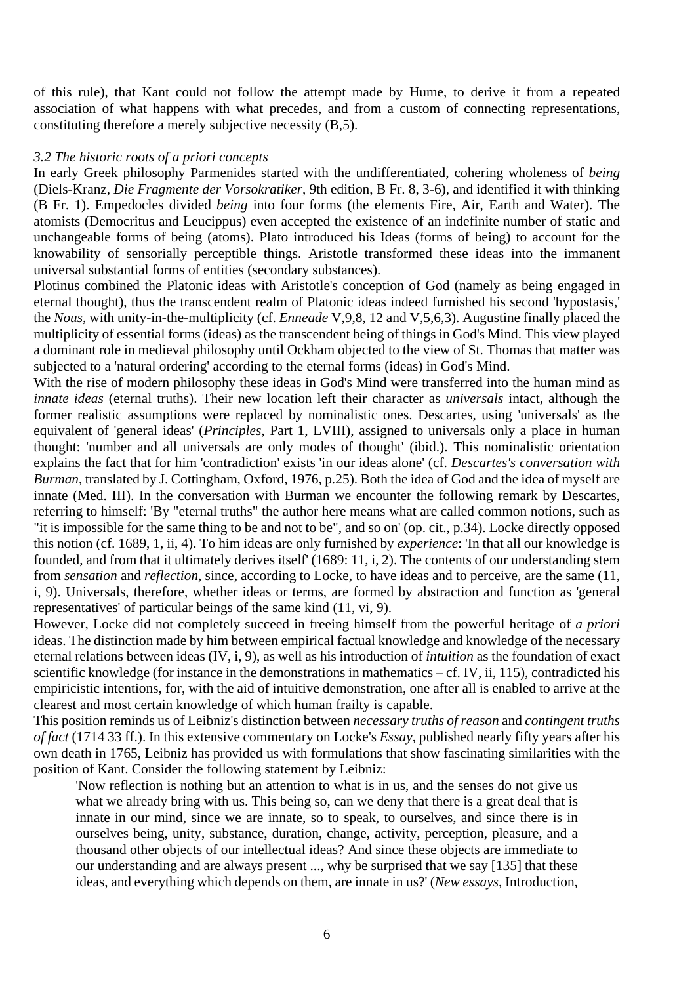of this rule), that Kant could not follow the attempt made by Hume, to derive it from a repeated association of what happens with what precedes, and from a custom of connecting representations, constituting therefore a merely subjective necessity (B,5).

#### *3.2 The historic roots of a priori concepts*

In early Greek philosophy Parmenides started with the undifferentiated, cohering wholeness of *being*  (Diels-Kranz, *Die Fragmente der Vorsokratiker*, 9th edition, B Fr. 8, 3-6), and identified it with thinking (B Fr. 1). Empedocles divided *being* into four forms (the elements Fire, Air, Earth and Water). The atomists (Democritus and Leucippus) even accepted the existence of an indefinite number of static and unchangeable forms of being (atoms). Plato introduced his Ideas (forms of being) to account for the knowability of sensorially perceptible things. Aristotle transformed these ideas into the immanent universal substantial forms of entities (secondary substances).

Plotinus combined the Platonic ideas with Aristotle's conception of God (namely as being engaged in eternal thought), thus the transcendent realm of Platonic ideas indeed furnished his second 'hypostasis,' the *Nous*, with unity-in-the-multiplicity (cf. *Enneade* V,9,8, 12 and V,5,6,3). Augustine finally placed the multiplicity of essential forms (ideas) as the transcendent being of things in God's Mind. This view played a dominant role in medieval philosophy until Ockham objected to the view of St. Thomas that matter was subjected to a 'natural ordering' according to the eternal forms (ideas) in God's Mind.

With the rise of modern philosophy these ideas in God's Mind were transferred into the human mind as *innate ideas* (eternal truths). Their new location left their character as *universals* intact, although the former realistic assumptions were replaced by nominalistic ones. Descartes, using 'universals' as the equivalent of 'general ideas' (*Principles,* Part 1, LVIII), assigned to universals only a place in human thought: 'number and all universals are only modes of thought' (ibid.). This nominalistic orientation explains the fact that for him 'contradiction' exists 'in our ideas alone' (cf. *Descartes's conversation with Burman*, translated by J. Cottingham, Oxford, 1976, p.25). Both the idea of God and the idea of myself are innate (Med. III). In the conversation with Burman we encounter the following remark by Descartes, referring to himself: 'By "eternal truths" the author here means what are called common notions, such as "it is impossible for the same thing to be and not to be", and so on' (op. cit., p.34). Locke directly opposed this notion (cf. 1689, 1, ii, 4). To him ideas are only furnished by *experience*: 'In that all our knowledge is founded, and from that it ultimately derives itself' (1689: 11, i, 2). The contents of our understanding stem from *sensation* and *reflection*, since, according to Locke, to have ideas and to perceive, are the same (11, i, 9). Universals, therefore, whether ideas or terms, are formed by abstraction and function as 'general representatives' of particular beings of the same kind (11, vi, 9).

However, Locke did not completely succeed in freeing himself from the powerful heritage of *a priori*  ideas. The distinction made by him between empirical factual knowledge and knowledge of the necessary eternal relations between ideas (IV, i, 9), as well as his introduction of *intuition* as the foundation of exact scientific knowledge (for instance in the demonstrations in mathematics – cf. IV, ii, 115), contradicted his empiricistic intentions, for, with the aid of intuitive demonstration, one after all is enabled to arrive at the clearest and most certain knowledge of which human frailty is capable.

This position reminds us of Leibniz's distinction between *necessary truths of reason* and *contingent truths of fact* (1714 33 ff.). In this extensive commentary on Locke's *Essay*, published nearly fifty years after his own death in 1765, Leibniz has provided us with formulations that show fascinating similarities with the position of Kant. Consider the following statement by Leibniz:

'Now reflection is nothing but an attention to what is in us, and the senses do not give us what we already bring with us. This being so, can we deny that there is a great deal that is innate in our mind, since we are innate, so to speak, to ourselves, and since there is in ourselves being, unity, substance, duration, change, activity, perception, pleasure, and a thousand other objects of our intellectual ideas? And since these objects are immediate to our understanding and are always present ..., why be surprised that we say [135] that these ideas, and everything which depends on them, are innate in us?' (*New essays*, Introduction,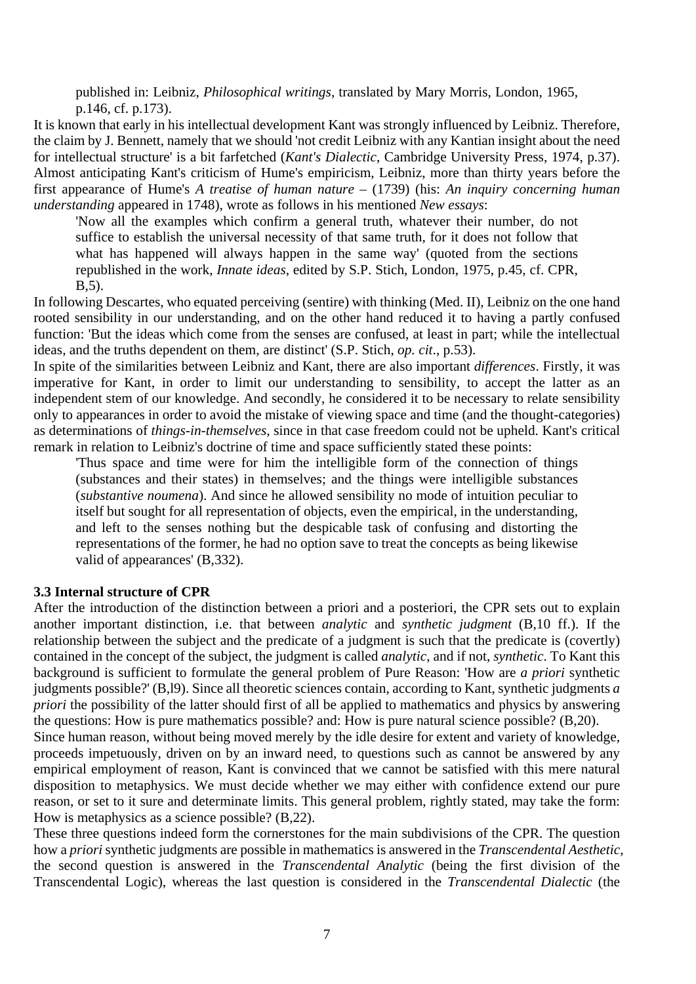published in: Leibniz, *Philosophical writings*, translated by Mary Morris, London, 1965, p.146, cf. p.173).

It is known that early in his intellectual development Kant was strongly influenced by Leibniz. Therefore, the claim by J. Bennett, namely that we should 'not credit Leibniz with any Kantian insight about the need for intellectual structure' is a bit farfetched (*Kant's Dialectic*, Cambridge University Press, 1974, p.37). Almost anticipating Kant's criticism of Hume's empiricism, Leibniz, more than thirty years before the first appearance of Hume's *A treatise of human nature* – (1739) (his: *An inquiry concerning human understanding* appeared in 1748), wrote as follows in his mentioned *New essays*:

'Now all the examples which confirm a general truth, whatever their number, do not suffice to establish the universal necessity of that same truth, for it does not follow that what has happened will always happen in the same way' (quoted from the sections republished in the work, *Innate ideas*, edited by S.P. Stich, London, 1975, p.45, cf. CPR, B,5).

In following Descartes, who equated perceiving (sentire) with thinking (Med. II), Leibniz on the one hand rooted sensibility in our understanding, and on the other hand reduced it to having a partly confused function: 'But the ideas which come from the senses are confused, at least in part; while the intellectual ideas, and the truths dependent on them, are distinct' (S.P. Stich, *op. cit*., p.53).

In spite of the similarities between Leibniz and Kant, there are also important *differences*. Firstly, it was imperative for Kant, in order to limit our understanding to sensibility, to accept the latter as an independent stem of our knowledge. And secondly, he considered it to be necessary to relate sensibility only to appearances in order to avoid the mistake of viewing space and time (and the thought-categories) as determinations of *things-in-themselves*, since in that case freedom could not be upheld. Kant's critical remark in relation to Leibniz's doctrine of time and space sufficiently stated these points:

'Thus space and time were for him the intelligible form of the connection of things (substances and their states) in themselves; and the things were intelligible substances (*substantive noumena*). And since he allowed sensibility no mode of intuition peculiar to itself but sought for all representation of objects, even the empirical, in the understanding, and left to the senses nothing but the despicable task of confusing and distorting the representations of the former, he had no option save to treat the concepts as being likewise valid of appearances' (B,332).

## **3.3 Internal structure of CPR**

After the introduction of the distinction between a priori and a posteriori, the CPR sets out to explain another important distinction, i.e. that between *analytic* and *synthetic judgment* (B,10 ff.). If the relationship between the subject and the predicate of a judgment is such that the predicate is (covertly) contained in the concept of the subject, the judgment is called *analytic*, and if not, *synthetic*. To Kant this background is sufficient to formulate the general problem of Pure Reason: 'How are *a priori* synthetic judgments possible?' (B,l9). Since all theoretic sciences contain, according to Kant, synthetic judgments *a priori* the possibility of the latter should first of all be applied to mathematics and physics by answering the questions: How is pure mathematics possible? and: How is pure natural science possible? (B,20).

Since human reason, without being moved merely by the idle desire for extent and variety of knowledge, proceeds impetuously, driven on by an inward need, to questions such as cannot be answered by any empirical employment of reason, Kant is convinced that we cannot be satisfied with this mere natural disposition to metaphysics. We must decide whether we may either with confidence extend our pure reason, or set to it sure and determinate limits. This general problem, rightly stated, may take the form: How is metaphysics as a science possible? (B,22).

These three questions indeed form the cornerstones for the main subdivisions of the CPR. The question how a *priori* synthetic judgments are possible in mathematics is answered in the *Transcendental Aesthetic*, the second question is answered in the *Transcendental Analytic* (being the first division of the Transcendental Logic), whereas the last question is considered in the *Transcendental Dialectic* (the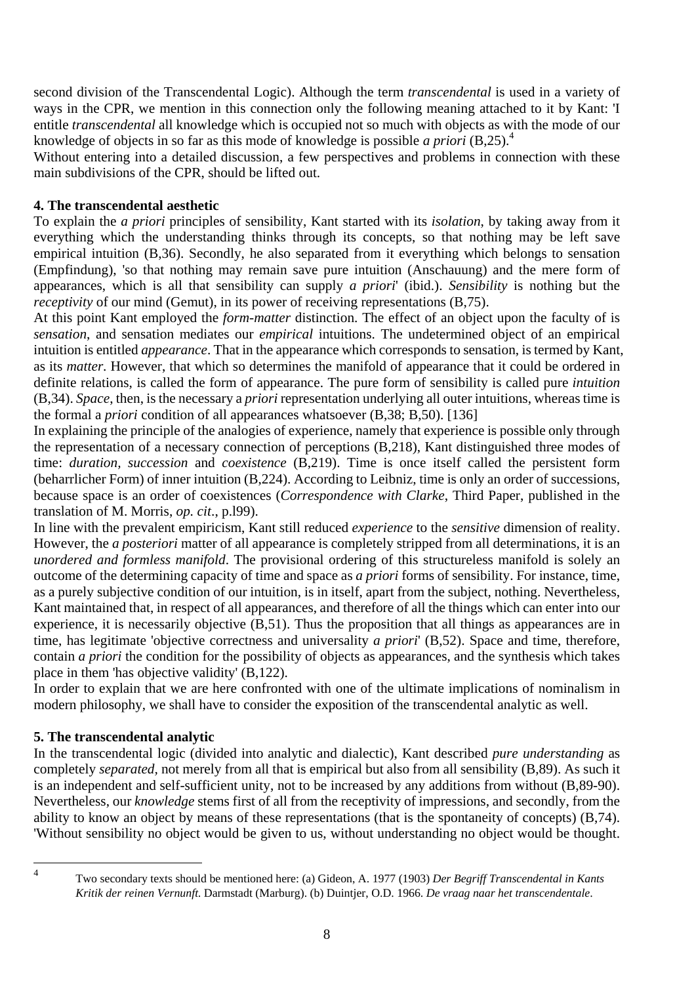second division of the Transcendental Logic). Although the term *transcendental* is used in a variety of ways in the CPR, we mention in this connection only the following meaning attached to it by Kant: 'I entitle *transcendental* all knowledge which is occupied not so much with objects as with the mode of our knowledge of objects in so far as this mode of knowledge is possible *a priori* (B,25).4

Without entering into a detailed discussion, a few perspectives and problems in connection with these main subdivisions of the CPR, should be lifted out.

## **4. The transcendental aesthetic**

To explain the *a priori* principles of sensibility, Kant started with its *isolation*, by taking away from it everything which the understanding thinks through its concepts, so that nothing may be left save empirical intuition (B,36). Secondly, he also separated from it everything which belongs to sensation (Empfindung), 'so that nothing may remain save pure intuition (Anschauung) and the mere form of appearances, which is all that sensibility can supply *a priori*' (ibid.). *Sensibility* is nothing but the *receptivity* of our mind (Gemut), in its power of receiving representations (B,75).

At this point Kant employed the *form-matter* distinction. The effect of an object upon the faculty of is *sensation*, and sensation mediates our *empirical* intuitions. The undetermined object of an empirical intuition is entitled *appearance*. That in the appearance which corresponds to sensation, is termed by Kant, as its *matter*. However, that which so determines the manifold of appearance that it could be ordered in definite relations, is called the form of appearance. The pure form of sensibility is called pure *intuition*  (B,34). *Space*, then, is the necessary a *priori* representation underlying all outer intuitions, whereas time is the formal a *priori* condition of all appearances whatsoever (B,38; B,50). [136]

In explaining the principle of the analogies of experience, namely that experience is possible only through the representation of a necessary connection of perceptions (B,218), Kant distinguished three modes of time: *duration, succession* and *coexistence* (B,219). Time is once itself called the persistent form (beharrlicher Form) of inner intuition (B,224). According to Leibniz, time is only an order of successions, because space is an order of coexistences (*Correspondence with Clarke*, Third Paper, published in the translation of M. Morris, *op. cit*., p.l99).

In line with the prevalent empiricism, Kant still reduced *experience* to the *sensitive* dimension of reality. However, the *a posteriori* matter of all appearance is completely stripped from all determinations, it is an *unordered and formless manifold*. The provisional ordering of this structureless manifold is solely an outcome of the determining capacity of time and space as *a priori* forms of sensibility. For instance, time, as a purely subjective condition of our intuition, is in itself, apart from the subject, nothing. Nevertheless, Kant maintained that, in respect of all appearances, and therefore of all the things which can enter into our experience, it is necessarily objective (B,51). Thus the proposition that all things as appearances are in time, has legitimate 'objective correctness and universality *a priori*' (B,52). Space and time, therefore, contain *a priori* the condition for the possibility of objects as appearances, and the synthesis which takes place in them 'has objective validity' (B,122).

In order to explain that we are here confronted with one of the ultimate implications of nominalism in modern philosophy, we shall have to consider the exposition of the transcendental analytic as well.

# **5. The transcendental analytic**

In the transcendental logic (divided into analytic and dialectic), Kant described *pure understanding* as completely *separated,* not merely from all that is empirical but also from all sensibility (B,89). As such it is an independent and self-sufficient unity, not to be increased by any additions from without (B,89-90). Nevertheless, our *knowledge* stems first of all from the receptivity of impressions, and secondly, from the ability to know an object by means of these representations (that is the spontaneity of concepts) (B,74). 'Without sensibility no object would be given to us, without understanding no object would be thought.

 $\overline{4}$ 

<sup>4</sup> Two secondary texts should be mentioned here: (a) Gideon, A. 1977 (1903) *Der Begriff Transcendental in Kants Kritik der reinen Vernunft.* Darmstadt (Marburg). (b) Duintjer, O.D. 1966. *De vraag naar het transcendentale*.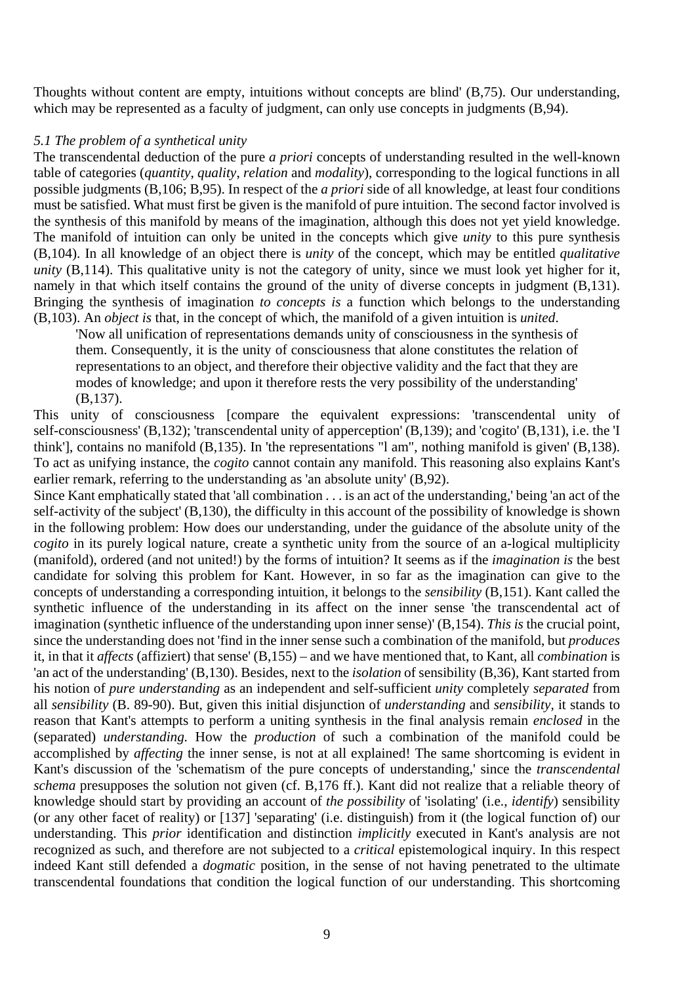Thoughts without content are empty, intuitions without concepts are blind' (B,75). Our understanding, which may be represented as a faculty of judgment, can only use concepts in judgments (B,94).

## *5.1 The problem of a synthetical unity*

The transcendental deduction of the pure *a priori* concepts of understanding resulted in the well-known table of categories (*quantity*, *quality*, *relation* and *modality*), corresponding to the logical functions in all possible judgments (B,106; B,95). In respect of the *a priori* side of all knowledge, at least four conditions must be satisfied. What must first be given is the manifold of pure intuition. The second factor involved is the synthesis of this manifold by means of the imagination, although this does not yet yield knowledge. The manifold of intuition can only be united in the concepts which give *unity* to this pure synthesis (B,104). In all knowledge of an object there is *unity* of the concept, which may be entitled *qualitative unity* (B,114). This qualitative unity is not the category of unity, since we must look yet higher for it, namely in that which itself contains the ground of the unity of diverse concepts in judgment (B,131). Bringing the synthesis of imagination *to concepts is* a function which belongs to the understanding (B,103). An *object is* that, in the concept of which, the manifold of a given intuition is *united*.

'Now all unification of representations demands unity of consciousness in the synthesis of them. Consequently, it is the unity of consciousness that alone constitutes the relation of representations to an object, and therefore their objective validity and the fact that they are modes of knowledge; and upon it therefore rests the very possibility of the understanding' (B,137).

This unity of consciousness [compare the equivalent expressions: 'transcendental unity of self-consciousness' (B,132); 'transcendental unity of apperception' (B,139); and 'cogito' (B,131), i.e. the 'I think'], contains no manifold (B,135). In 'the representations "l am", nothing manifold is given' (B,138). To act as unifying instance, the *cogito* cannot contain any manifold. This reasoning also explains Kant's earlier remark, referring to the understanding as 'an absolute unity' (B,92).

Since Kant emphatically stated that 'all combination . . . is an act of the understanding,' being 'an act of the self-activity of the subject' (B,130), the difficulty in this account of the possibility of knowledge is shown in the following problem: How does our understanding, under the guidance of the absolute unity of the *cogito* in its purely logical nature, create a synthetic unity from the source of an a-logical multiplicity (manifold), ordered (and not united!) by the forms of intuition? It seems as if the *imagination is* the best candidate for solving this problem for Kant. However, in so far as the imagination can give to the concepts of understanding a corresponding intuition, it belongs to the *sensibility* (B,151). Kant called the synthetic influence of the understanding in its affect on the inner sense 'the transcendental act of imagination (synthetic influence of the understanding upon inner sense)' (B,154). *This is* the crucial point, since the understanding does not 'find in the inner sense such a combination of the manifold, but *produces*  it, in that it *affects* (affiziert) that sense' (B,155) – and we have mentioned that, to Kant, all *combination* is 'an act of the understanding' (B,130). Besides, next to the *isolation* of sensibility (B,36), Kant started from his notion of *pure understanding* as an independent and self-sufficient *unity* completely *separated* from all *sensibility* (B. 89-90). But, given this initial disjunction of *understanding* and *sensibility,* it stands to reason that Kant's attempts to perform a uniting synthesis in the final analysis remain *enclosed* in the (separated) *understanding.* How the *production* of such a combination of the manifold could be accomplished by *affecting* the inner sense, is not at all explained! The same shortcoming is evident in Kant's discussion of the 'schematism of the pure concepts of understanding,' since the *transcendental schema* presupposes the solution not given (cf. B,176 ff.). Kant did not realize that a reliable theory of knowledge should start by providing an account of *the possibility* of 'isolating' (i.e., *identify*) sensibility (or any other facet of reality) or [137] 'separating' (i.e. distinguish) from it (the logical function of) our understanding. This *prior* identification and distinction *implicitly* executed in Kant's analysis are not recognized as such, and therefore are not subjected to a *critical* epistemological inquiry. In this respect indeed Kant still defended a *dogmatic* position, in the sense of not having penetrated to the ultimate transcendental foundations that condition the logical function of our understanding. This shortcoming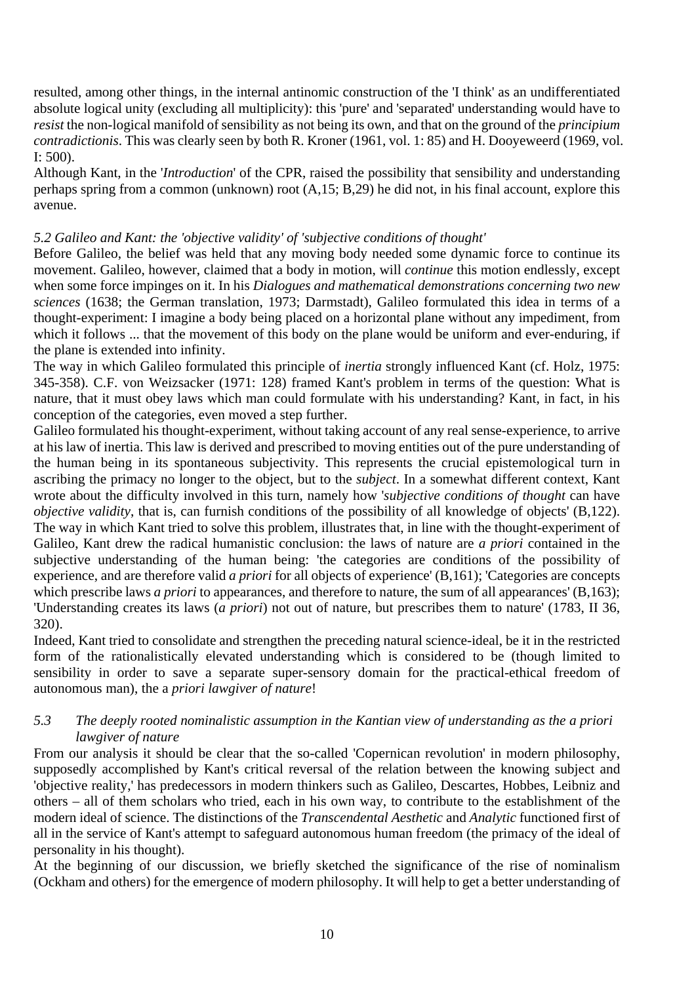resulted, among other things, in the internal antinomic construction of the 'I think' as an undifferentiated absolute logical unity (excluding all multiplicity): this 'pure' and 'separated' understanding would have to *resist* the non-logical manifold of sensibility as not being its own, and that on the ground of the *principium contradictionis*. This was clearly seen by both R. Kroner (1961, vol. 1: 85) and H. Dooyeweerd (1969, vol. I: 500).

Although Kant, in the '*Introduction*' of the CPR, raised the possibility that sensibility and understanding perhaps spring from a common (unknown) root (A,15; B,29) he did not, in his final account, explore this avenue.

## *5.2 Galileo and Kant: the 'objective validity' of 'subjective conditions of thought'*

Before Galileo, the belief was held that any moving body needed some dynamic force to continue its movement. Galileo, however, claimed that a body in motion, will *continue* this motion endlessly, except when some force impinges on it. In his *Dialogues and mathematical demonstrations concerning two new sciences* (1638; the German translation, 1973; Darmstadt), Galileo formulated this idea in terms of a thought-experiment: I imagine a body being placed on a horizontal plane without any impediment, from which it follows ... that the movement of this body on the plane would be uniform and ever-enduring, if the plane is extended into infinity.

The way in which Galileo formulated this principle of *inertia* strongly influenced Kant (cf. Holz, 1975: 345-358). C.F. von Weizsacker (1971: 128) framed Kant's problem in terms of the question: What is nature, that it must obey laws which man could formulate with his understanding? Kant, in fact, in his conception of the categories, even moved a step further.

Galileo formulated his thought-experiment, without taking account of any real sense-experience, to arrive at his law of inertia. This law is derived and prescribed to moving entities out of the pure understanding of the human being in its spontaneous subjectivity. This represents the crucial epistemological turn in ascribing the primacy no longer to the object, but to the *subject*. In a somewhat different context, Kant wrote about the difficulty involved in this turn, namely how '*subjective conditions of thought* can have *objective validity*, that is, can furnish conditions of the possibility of all knowledge of objects' (B,122). The way in which Kant tried to solve this problem, illustrates that, in line with the thought-experiment of Galileo, Kant drew the radical humanistic conclusion: the laws of nature are *a priori* contained in the subjective understanding of the human being: 'the categories are conditions of the possibility of experience, and are therefore valid *a priori* for all objects of experience' (B,161); 'Categories are concepts which prescribe laws *a priori* to appearances, and therefore to nature, the sum of all appearances' (B,163); 'Understanding creates its laws (*a priori*) not out of nature, but prescribes them to nature' (1783, II 36, 320).

Indeed, Kant tried to consolidate and strengthen the preceding natural science-ideal, be it in the restricted form of the rationalistically elevated understanding which is considered to be (though limited to sensibility in order to save a separate super-sensory domain for the practical-ethical freedom of autonomous man), the a *priori lawgiver of nature*!

## *5.3 The deeply rooted nominalistic assumption in the Kantian view of understanding as the a priori lawgiver of nature*

From our analysis it should be clear that the so-called 'Copernican revolution' in modern philosophy, supposedly accomplished by Kant's critical reversal of the relation between the knowing subject and 'objective reality,' has predecessors in modern thinkers such as Galileo, Descartes, Hobbes, Leibniz and others – all of them scholars who tried, each in his own way, to contribute to the establishment of the modern ideal of science. The distinctions of the *Transcendental Aesthetic* and *Analytic* functioned first of all in the service of Kant's attempt to safeguard autonomous human freedom (the primacy of the ideal of personality in his thought).

At the beginning of our discussion, we briefly sketched the significance of the rise of nominalism (Ockham and others) for the emergence of modern philosophy. It will help to get a better understanding of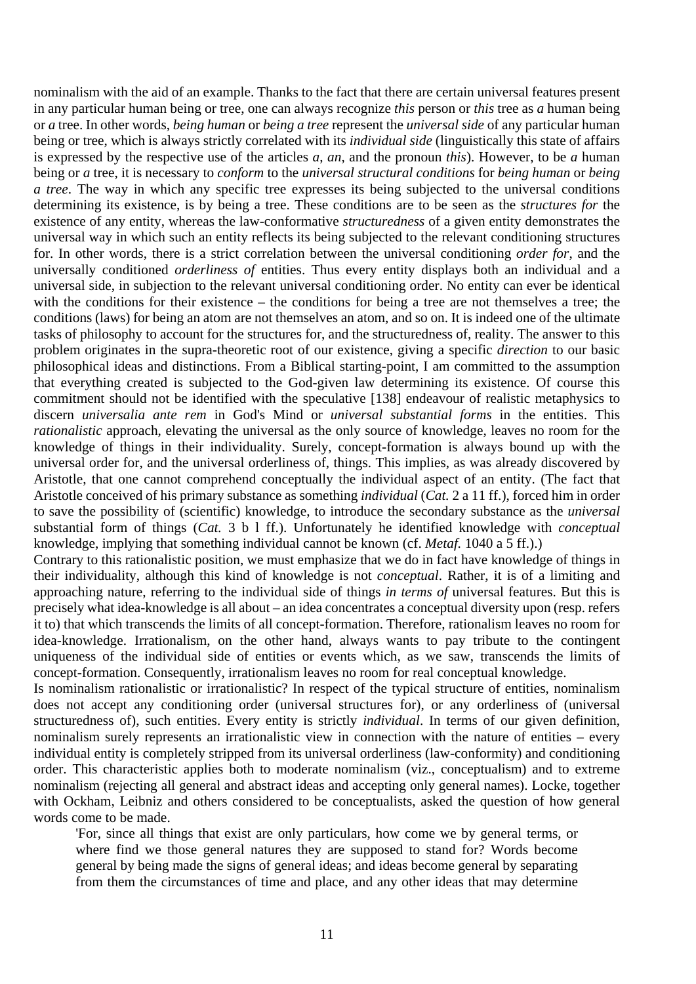nominalism with the aid of an example. Thanks to the fact that there are certain universal features present in any particular human being or tree, one can always recognize *this* person or *this* tree as *a* human being or *a* tree. In other words, *being human* or *being a tree* represent the *universal side* of any particular human being or tree, which is always strictly correlated with its *individual side* (linguistically this state of affairs is expressed by the respective use of the articles *a*, *an*, and the pronoun *this*). However, to be *a* human being or *a* tree, it is necessary to *conform* to the *universal structural conditions* for *being human* or *being a tree*. The way in which any specific tree expresses its being subjected to the universal conditions determining its existence, is by being a tree. These conditions are to be seen as the *structures for* the existence of any entity, whereas the law-conformative *structuredness* of a given entity demonstrates the universal way in which such an entity reflects its being subjected to the relevant conditioning structures for. In other words, there is a strict correlation between the universal conditioning *order for*, and the universally conditioned *orderliness of* entities. Thus every entity displays both an individual and a universal side, in subjection to the relevant universal conditioning order. No entity can ever be identical with the conditions for their existence – the conditions for being a tree are not themselves a tree; the conditions (laws) for being an atom are not themselves an atom, and so on. It is indeed one of the ultimate tasks of philosophy to account for the structures for, and the structuredness of, reality. The answer to this problem originates in the supra-theoretic root of our existence, giving a specific *direction* to our basic philosophical ideas and distinctions. From a Biblical starting-point, I am committed to the assumption that everything created is subjected to the God-given law determining its existence. Of course this commitment should not be identified with the speculative [138] endeavour of realistic metaphysics to discern *universalia ante rem* in God's Mind or *universal substantial forms* in the entities. This *rationalistic* approach, elevating the universal as the only source of knowledge, leaves no room for the knowledge of things in their individuality. Surely, concept-formation is always bound up with the universal order for, and the universal orderliness of, things. This implies, as was already discovered by Aristotle, that one cannot comprehend conceptually the individual aspect of an entity. (The fact that Aristotle conceived of his primary substance as something *individual* (*Cat.* 2 a 11 ff.), forced him in order to save the possibility of (scientific) knowledge, to introduce the secondary substance as the *universal*  substantial form of things (*Cat.* 3 b l ff.). Unfortunately he identified knowledge with *conceptual*  knowledge, implying that something individual cannot be known (cf. *Metaf.* 1040 a 5 ff.).)

Contrary to this rationalistic position, we must emphasize that we do in fact have knowledge of things in their individuality, although this kind of knowledge is not *conceptual*. Rather, it is of a limiting and approaching nature, referring to the individual side of things *in terms of* universal features. But this is precisely what idea-knowledge is all about – an idea concentrates a conceptual diversity upon (resp. refers it to) that which transcends the limits of all concept-formation. Therefore, rationalism leaves no room for idea-knowledge. Irrationalism, on the other hand, always wants to pay tribute to the contingent uniqueness of the individual side of entities or events which, as we saw, transcends the limits of concept-formation. Consequently, irrationalism leaves no room for real conceptual knowledge.

Is nominalism rationalistic or irrationalistic? In respect of the typical structure of entities, nominalism does not accept any conditioning order (universal structures for), or any orderliness of (universal structuredness of), such entities. Every entity is strictly *individual*. In terms of our given definition, nominalism surely represents an irrationalistic view in connection with the nature of entities – every individual entity is completely stripped from its universal orderliness (law-conformity) and conditioning order. This characteristic applies both to moderate nominalism (viz., conceptualism) and to extreme nominalism (rejecting all general and abstract ideas and accepting only general names). Locke, together with Ockham, Leibniz and others considered to be conceptualists, asked the question of how general words come to be made.

'For, since all things that exist are only particulars, how come we by general terms, or where find we those general natures they are supposed to stand for? Words become general by being made the signs of general ideas; and ideas become general by separating from them the circumstances of time and place, and any other ideas that may determine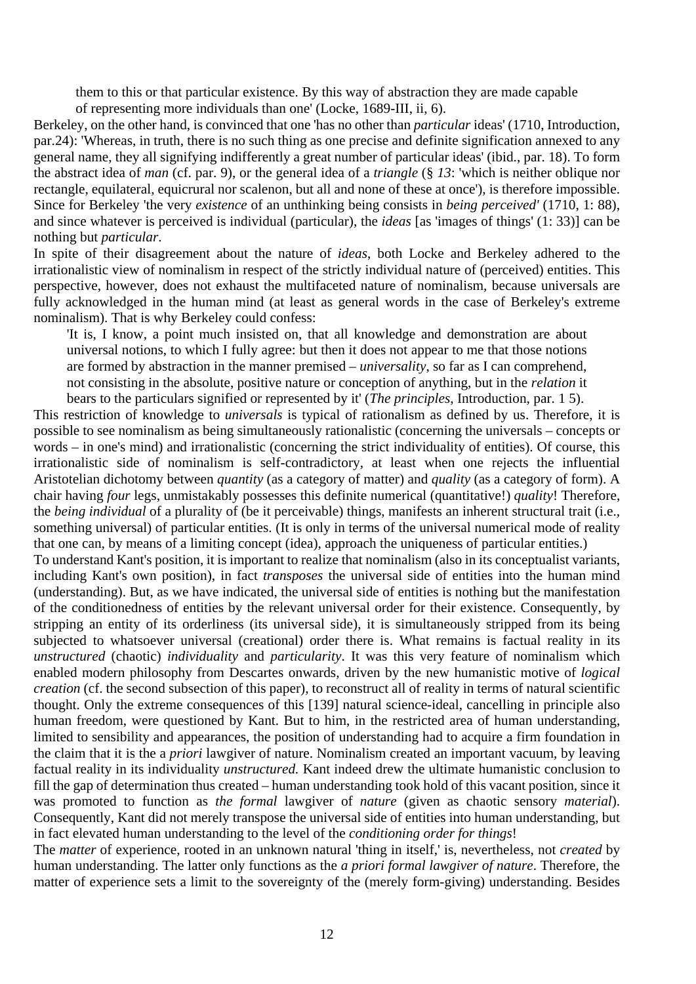them to this or that particular existence. By this way of abstraction they are made capable of representing more individuals than one' (Locke, 1689-III, ii, 6).

Berkeley, on the other hand, is convinced that one 'has no other than *particular* ideas' (1710, Introduction, par.24): 'Whereas, in truth, there is no such thing as one precise and definite signification annexed to any general name, they all signifying indifferently a great number of particular ideas' (ibid., par. 18). To form the abstract idea of *man* (cf. par. 9), or the general idea of a *triangle* (§ *13*: 'which is neither oblique nor rectangle, equilateral, equicrural nor scalenon, but all and none of these at once'), is therefore impossible. Since for Berkeley 'the very *existence* of an unthinking being consists in *being perceived'* (1710, 1: 88), and since whatever is perceived is individual (particular), the *ideas* [as 'images of things' (1: 33)] can be nothing but *particular*.

In spite of their disagreement about the nature of *ideas*, both Locke and Berkeley adhered to the irrationalistic view of nominalism in respect of the strictly individual nature of (perceived) entities. This perspective, however, does not exhaust the multifaceted nature of nominalism, because universals are fully acknowledged in the human mind (at least as general words in the case of Berkeley's extreme nominalism). That is why Berkeley could confess:

'It is, I know, a point much insisted on, that all knowledge and demonstration are about universal notions, to which I fully agree: but then it does not appear to me that those notions are formed by abstraction in the manner premised – *universality*, so far as I can comprehend, not consisting in the absolute, positive nature or conception of anything, but in the *relation* it bears to the particulars signified or represented by it' (*The principles*, Introduction, par. 1 5).

This restriction of knowledge to *universals* is typical of rationalism as defined by us. Therefore, it is possible to see nominalism as being simultaneously rationalistic (concerning the universals – concepts or words – in one's mind) and irrationalistic (concerning the strict individuality of entities). Of course, this irrationalistic side of nominalism is self-contradictory, at least when one rejects the influential Aristotelian dichotomy between *quantity* (as a category of matter) and *quality* (as a category of form). A chair having *four* legs, unmistakably possesses this definite numerical (quantitative!) *quality*! Therefore, the *being individual* of a plurality of (be it perceivable) things, manifests an inherent structural trait (i.e., something universal) of particular entities. (It is only in terms of the universal numerical mode of reality that one can, by means of a limiting concept (idea), approach the uniqueness of particular entities.)

To understand Kant's position, it is important to realize that nominalism (also in its conceptualist variants, including Kant's own position), in fact *transposes* the universal side of entities into the human mind (understanding). But, as we have indicated, the universal side of entities is nothing but the manifestation of the conditionedness of entities by the relevant universal order for their existence. Consequently, by stripping an entity of its orderliness (its universal side), it is simultaneously stripped from its being subjected to whatsoever universal (creational) order there is. What remains is factual reality in its *unstructured* (chaotic) *individuality* and *particularity*. It was this very feature of nominalism which enabled modern philosophy from Descartes onwards, driven by the new humanistic motive of *logical creation* (cf. the second subsection of this paper), to reconstruct all of reality in terms of natural scientific thought. Only the extreme consequences of this [139] natural science-ideal, cancelling in principle also human freedom, were questioned by Kant. But to him, in the restricted area of human understanding, limited to sensibility and appearances, the position of understanding had to acquire a firm foundation in the claim that it is the a *priori* lawgiver of nature. Nominalism created an important vacuum, by leaving factual reality in its individuality *unstructured.* Kant indeed drew the ultimate humanistic conclusion to fill the gap of determination thus created – human understanding took hold of this vacant position, since it was promoted to function as *the formal* lawgiver of *nature* (given as chaotic sensory *material*). Consequently, Kant did not merely transpose the universal side of entities into human understanding, but in fact elevated human understanding to the level of the *conditioning order for things*!

The *matter* of experience, rooted in an unknown natural 'thing in itself,' is, nevertheless, not *created* by human understanding. The latter only functions as the *a priori formal lawgiver of nature*. Therefore, the matter of experience sets a limit to the sovereignty of the (merely form-giving) understanding. Besides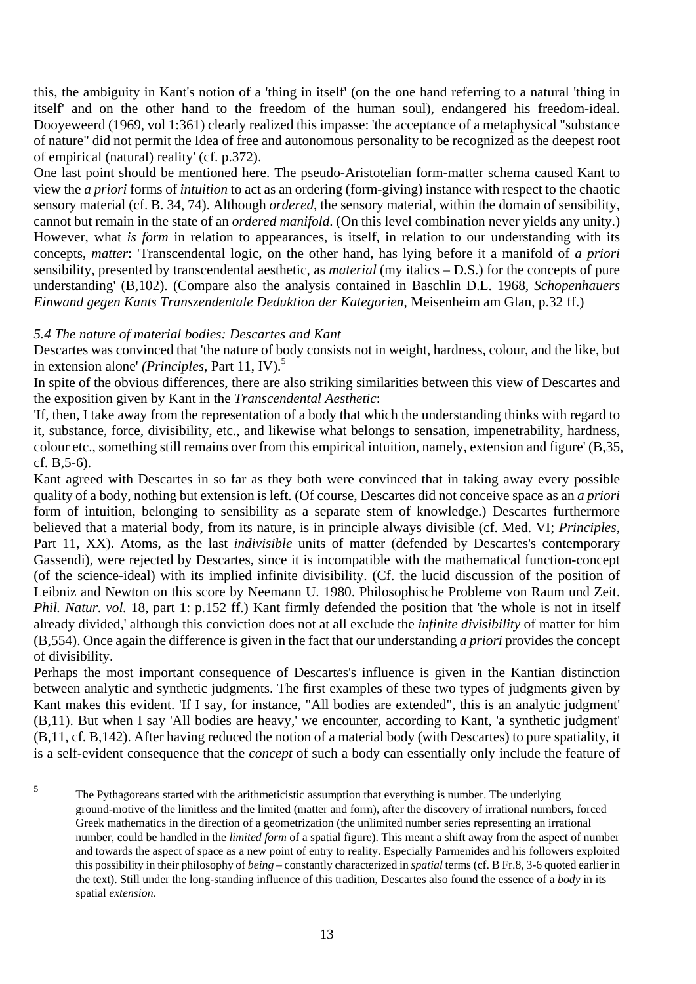this, the ambiguity in Kant's notion of a 'thing in itself' (on the one hand referring to a natural 'thing in itself' and on the other hand to the freedom of the human soul), endangered his freedom-ideal. Dooyeweerd (1969, vol 1:361) clearly realized this impasse: 'the acceptance of a metaphysical "substance of nature" did not permit the Idea of free and autonomous personality to be recognized as the deepest root of empirical (natural) reality' (cf. p.372).

One last point should be mentioned here. The pseudo-Aristotelian form-matter schema caused Kant to view the *a priori* forms of *intuition* to act as an ordering (form-giving) instance with respect to the chaotic sensory material (cf. B. 34, 74). Although *ordered*, the sensory material, within the domain of sensibility, cannot but remain in the state of an *ordered manifold*. (On this level combination never yields any unity.) However, what *is form* in relation to appearances, is itself, in relation to our understanding with its concepts, *matter*: 'Transcendental logic, on the other hand, has lying before it a manifold of *a priori*  sensibility, presented by transcendental aesthetic, as *material* (my italics – D.S.) for the concepts of pure understanding' (B,102). (Compare also the analysis contained in Baschlin D.L. 1968, *Schopenhauers Einwand gegen Kants Transzendentale Deduktion der Kategorien*, Meisenheim am Glan, p.32 ff.)

## *5.4 The nature of material bodies: Descartes and Kant*

Descartes was convinced that 'the nature of body consists not in weight, hardness, colour, and the like, but in extension alone' *(Principles*, Part 11, IV).<sup>5</sup>

In spite of the obvious differences, there are also striking similarities between this view of Descartes and the exposition given by Kant in the *Transcendental Aesthetic*:

'If, then, I take away from the representation of a body that which the understanding thinks with regard to it, substance, force, divisibility, etc., and likewise what belongs to sensation, impenetrability, hardness, colour etc., something still remains over from this empirical intuition, namely, extension and figure' (B,35, cf. B,5-6).

Kant agreed with Descartes in so far as they both were convinced that in taking away every possible quality of a body, nothing but extension is left. (Of course, Descartes did not conceive space as an *a priori*  form of intuition, belonging to sensibility as a separate stem of knowledge.) Descartes furthermore believed that a material body, from its nature, is in principle always divisible (cf. Med. VI; *Principles*, Part 11, XX). Atoms, as the last *indivisible* units of matter (defended by Descartes's contemporary Gassendi), were rejected by Descartes, since it is incompatible with the mathematical function-concept (of the science-ideal) with its implied infinite divisibility. (Cf. the lucid discussion of the position of Leibniz and Newton on this score by Neemann U. 1980. Philosophische Probleme von Raum und Zeit. *Phil. Natur. vol.* 18, part 1: p.152 ff.) Kant firmly defended the position that 'the whole is not in itself already divided,' although this conviction does not at all exclude the *infinite divisibility* of matter for him (B,554). Once again the difference is given in the fact that our understanding *a priori* provides the concept of divisibility.

Perhaps the most important consequence of Descartes's influence is given in the Kantian distinction between analytic and synthetic judgments. The first examples of these two types of judgments given by Kant makes this evident. 'If I say, for instance, "All bodies are extended", this is an analytic judgment' (B,11). But when I say 'All bodies are heavy,' we encounter, according to Kant, 'a synthetic judgment' (B,11, cf. B,142). After having reduced the notion of a material body (with Descartes) to pure spatiality, it is a self-evident consequence that the *concept* of such a body can essentially only include the feature of

 $\overline{5}$ <sup>5</sup> The Pythagoreans started with the arithmeticistic assumption that everything is number. The underlying ground-motive of the limitless and the limited (matter and form), after the discovery of irrational numbers, forced Greek mathematics in the direction of a geometrization (the unlimited number series representing an irrational number, could be handled in the *limited form* of a spatial figure). This meant a shift away from the aspect of number and towards the aspect of space as a new point of entry to reality. Especially Parmenides and his followers exploited this possibility in their philosophy of *being –* constantly characterized in *spatial* terms (cf. B Fr.8, 3-6 quoted earlier in the text). Still under the long-standing influence of this tradition, Descartes also found the essence of a *body* in its spatial *extension*.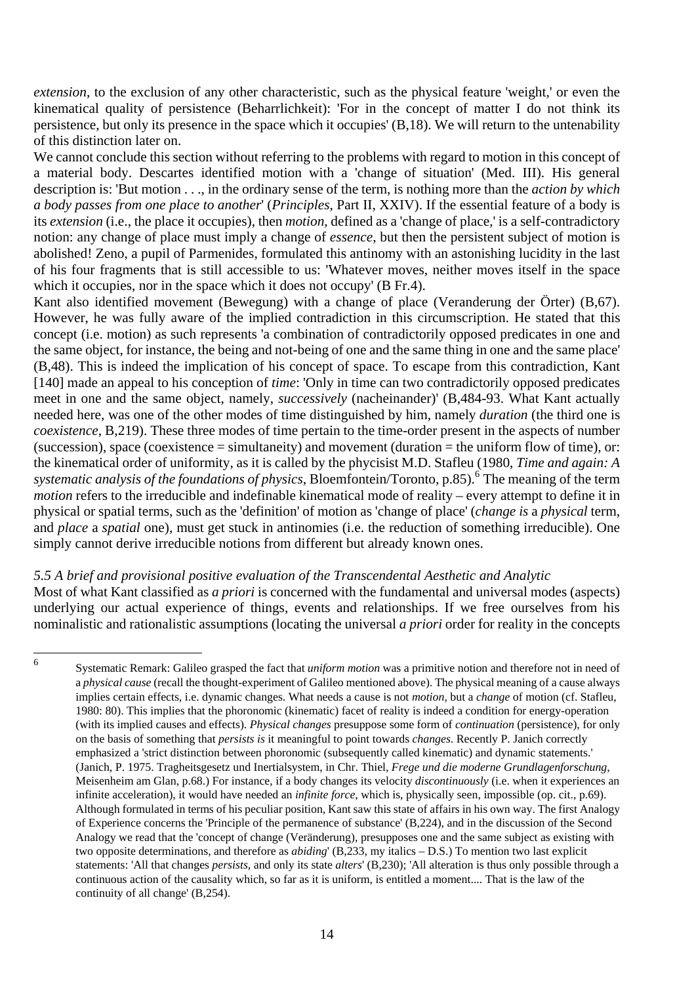*extension*, to the exclusion of any other characteristic, such as the physical feature 'weight,' or even the kinematical quality of persistence (Beharrlichkeit): 'For in the concept of matter I do not think its persistence, but only its presence in the space which it occupies' (B,18). We will return to the untenability of this distinction later on.

We cannot conclude this section without referring to the problems with regard to motion in this concept of a material body. Descartes identified motion with a 'change of situation' (Med. III). His general description is: 'But motion . . ., in the ordinary sense of the term, is nothing more than the *action by which a body passes from one place to another*' (*Principles*, Part II, XXIV). If the essential feature of a body is its *extension* (i.e., the place it occupies), then *motion*, defined as a 'change of place,' is a self-contradictory notion: any change of place must imply a change of *essence*, but then the persistent subject of motion is abolished! Zeno, a pupil of Parmenides, formulated this antinomy with an astonishing lucidity in the last of his four fragments that is still accessible to us: 'Whatever moves, neither moves itself in the space which it occupies, nor in the space which it does not occupy' (B Fr.4).

Kant also identified movement (Bewegung) with a change of place (Veranderung der Örter) (B,67). However, he was fully aware of the implied contradiction in this circumscription. He stated that this concept (i.e. motion) as such represents 'a combination of contradictorily opposed predicates in one and the same object, for instance, the being and not-being of one and the same thing in one and the same place' (B,48). This is indeed the implication of his concept of space. To escape from this contradiction, Kant [140] made an appeal to his conception of *time*: 'Only in time can two contradictorily opposed predicates meet in one and the same object, namely, *successively* (nacheinander)' (B,484-93. What Kant actually needed here, was one of the other modes of time distinguished by him, namely *duration* (the third one is *coexistence*, B,219). These three modes of time pertain to the time-order present in the aspects of number (succession), space (coexistence  $=$  simultaneity) and movement (duration  $=$  the uniform flow of time), or: the kinematical order of uniformity, as it is called by the phycisist M.D. Stafleu (1980, *Time and again: A*  systematic analysis of the foundations of physics, Bloemfontein/Toronto, p.85).<sup>6</sup> The meaning of the term *motion* refers to the irreducible and indefinable kinematical mode of reality – every attempt to define it in physical or spatial terms, such as the 'definition' of motion as 'change of place' (*change is* a *physical* term, and *place* a *spatial* one), must get stuck in antinomies (i.e. the reduction of something irreducible). One simply cannot derive irreducible notions from different but already known ones.

#### *5.5 A brief and provisional positive evaluation of the Transcendental Aesthetic and Analytic*

Most of what Kant classified as *a priori* is concerned with the fundamental and universal modes (aspects) underlying our actual experience of things, events and relationships. If we free ourselves from his nominalistic and rationalistic assumptions (locating the universal *a priori* order for reality in the concepts

 $6\overline{6}$ <sup>6</sup> Systematic Remark: Galileo grasped the fact that *uniform motion* was a primitive notion and therefore not in need of a *physical cause* (recall the thought-experiment of Galileo mentioned above). The physical meaning of a cause always implies certain effects, i.e. dynamic changes. What needs a cause is not *motion,* but a *change* of motion (cf. Stafleu, 1980: 80). This implies that the phoronomic (kinematic) facet of reality is indeed a condition for energy-operation (with its implied causes and effects). *Physical changes* presuppose some form of *continuation* (persistence), for only on the basis of something that *persists is* it meaningful to point towards *changes*. Recently P. Janich correctly emphasized a 'strict distinction between phoronomic (subsequently called kinematic) and dynamic statements.' (Janich, P. 1975. Tragheitsgesetz und Inertialsystem, in Chr. Thiel, *Frege und die moderne Grundlagenforschung*, Meisenheim am Glan, p.68.) For instance, if a body changes its velocity *discontinuously* (i.e. when it experiences an infinite acceleration), it would have needed an *infinite force*, which is, physically seen, impossible (op. cit., p.69). Although formulated in terms of his peculiar position, Kant saw this state of affairs in his own way. The first Analogy of Experience concerns the 'Principle of the permanence of substance' (B,224), and in the discussion of the Second Analogy we read that the 'concept of change (Veränderung), presupposes one and the same subject as existing with two opposite determinations, and therefore as *abiding*' (B,233, my italics – D.S.) To mention two last explicit statements: 'All that changes *persists*, and only its state *alters*' (B,230); 'All alteration is thus only possible through a continuous action of the causality which, so far as it is uniform, is entitled a moment.... That is the law of the continuity of all change' (B,254).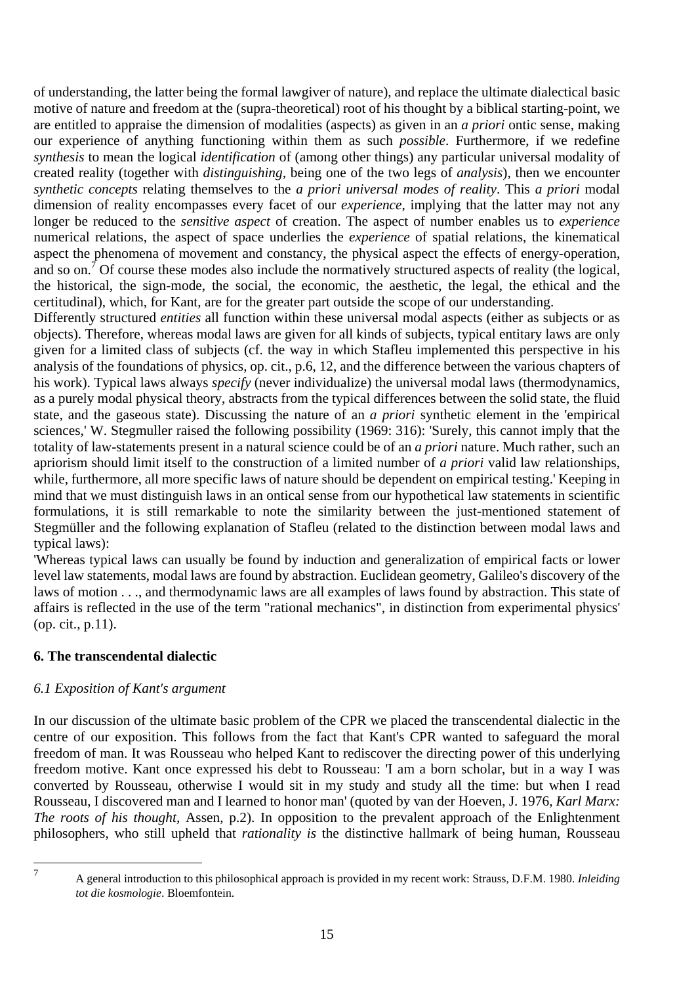of understanding, the latter being the formal lawgiver of nature), and replace the ultimate dialectical basic motive of nature and freedom at the (supra-theoretical) root of his thought by a biblical starting-point, we are entitled to appraise the dimension of modalities (aspects) as given in an *a priori* ontic sense, making our experience of anything functioning within them as such *possible*. Furthermore, if we redefine *synthesis* to mean the logical *identification* of (among other things) any particular universal modality of created reality (together with *distinguishing,* being one of the two legs of *analysis*), then we encounter *synthetic concepts* relating themselves to the *a priori universal modes of reality*. This *a priori* modal dimension of reality encompasses every facet of our *experience*, implying that the latter may not any longer be reduced to the *sensitive aspect* of creation. The aspect of number enables us to *experience*  numerical relations, the aspect of space underlies the *experience* of spatial relations, the kinematical aspect the phenomena of movement and constancy, the physical aspect the effects of energy-operation, and so on.<sup>7</sup> Of course these modes also include the normatively structured aspects of reality (the logical, the historical, the sign-mode, the social, the economic, the aesthetic, the legal, the ethical and the certitudinal), which, for Kant, are for the greater part outside the scope of our understanding.

Differently structured *entities* all function within these universal modal aspects (either as subjects or as objects). Therefore, whereas modal laws are given for all kinds of subjects, typical entitary laws are only given for a limited class of subjects (cf. the way in which Stafleu implemented this perspective in his analysis of the foundations of physics, op. cit., p.6, 12, and the difference between the various chapters of his work). Typical laws always *specify* (never individualize) the universal modal laws (thermodynamics, as a purely modal physical theory, abstracts from the typical differences between the solid state, the fluid state, and the gaseous state). Discussing the nature of an *a priori* synthetic element in the 'empirical sciences,' W. Stegmuller raised the following possibility (1969: 316): 'Surely, this cannot imply that the totality of law-statements present in a natural science could be of an *a priori* nature. Much rather, such an apriorism should limit itself to the construction of a limited number of *a priori* valid law relationships, while, furthermore, all more specific laws of nature should be dependent on empirical testing.' Keeping in mind that we must distinguish laws in an ontical sense from our hypothetical law statements in scientific formulations, it is still remarkable to note the similarity between the just-mentioned statement of Stegmüller and the following explanation of Stafleu (related to the distinction between modal laws and typical laws):

'Whereas typical laws can usually be found by induction and generalization of empirical facts or lower level law statements, modal laws are found by abstraction. Euclidean geometry, Galileo's discovery of the laws of motion . . ., and thermodynamic laws are all examples of laws found by abstraction. This state of affairs is reflected in the use of the term "rational mechanics", in distinction from experimental physics' (op. cit., p.11).

# **6. The transcendental dialectic**

# *6.1 Exposition of Kant's argument*

In our discussion of the ultimate basic problem of the CPR we placed the transcendental dialectic in the centre of our exposition. This follows from the fact that Kant's CPR wanted to safeguard the moral freedom of man. It was Rousseau who helped Kant to rediscover the directing power of this underlying freedom motive. Kant once expressed his debt to Rousseau: 'I am a born scholar, but in a way I was converted by Rousseau, otherwise I would sit in my study and study all the time: but when I read Rousseau, I discovered man and I learned to honor man' (quoted by van der Hoeven, J. 1976, *Karl Marx: The roots of his thought,* Assen, p.2). In opposition to the prevalent approach of the Enlightenment philosophers, who still upheld that *rationality is* the distinctive hallmark of being human, Rousseau

 $\overline{7}$ 

<sup>7</sup> A general introduction to this philosophical approach is provided in my recent work: Strauss, D.F.M. 1980. *Inleiding tot die kosmologie*. Bloemfontein.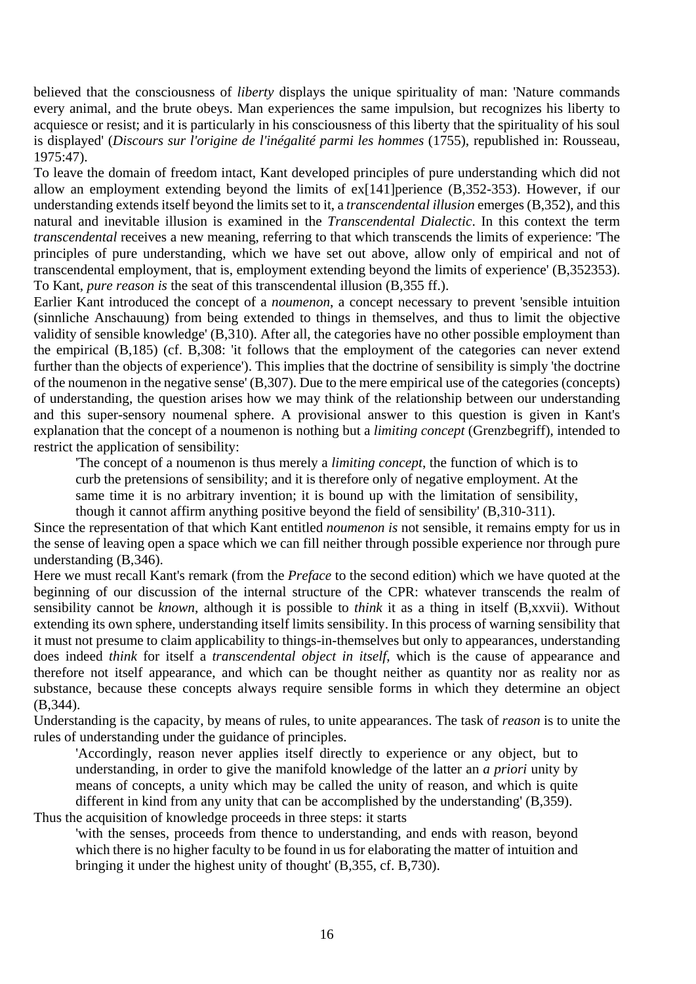believed that the consciousness of *liberty* displays the unique spirituality of man: 'Nature commands every animal, and the brute obeys. Man experiences the same impulsion, but recognizes his liberty to acquiesce or resist; and it is particularly in his consciousness of this liberty that the spirituality of his soul is displayed' (*Discours sur l'origine de l'inégalité parmi les hommes* (1755), republished in: Rousseau, 1975:47).

To leave the domain of freedom intact, Kant developed principles of pure understanding which did not allow an employment extending beyond the limits of ex[141]perience (B,352-353). However, if our understanding extends itself beyond the limits set to it, a *transcendental illusion* emerges (B,352), and this natural and inevitable illusion is examined in the *Transcendental Dialectic*. In this context the term *transcendental* receives a new meaning, referring to that which transcends the limits of experience: 'The principles of pure understanding, which we have set out above, allow only of empirical and not of transcendental employment, that is, employment extending beyond the limits of experience' (B,352353). To Kant, *pure reason is* the seat of this transcendental illusion (B,355 ff.).

Earlier Kant introduced the concept of a *noumenon*, a concept necessary to prevent 'sensible intuition (sinnliche Anschauung) from being extended to things in themselves, and thus to limit the objective validity of sensible knowledge' (B,310). After all, the categories have no other possible employment than the empirical (B,185) (cf. B,308: 'it follows that the employment of the categories can never extend further than the objects of experience'). This implies that the doctrine of sensibility is simply 'the doctrine of the noumenon in the negative sense' (B,307). Due to the mere empirical use of the categories (concepts) of understanding, the question arises how we may think of the relationship between our understanding and this super-sensory noumenal sphere. A provisional answer to this question is given in Kant's explanation that the concept of a noumenon is nothing but a *limiting concept* (Grenzbegriff), intended to restrict the application of sensibility:

'The concept of a noumenon is thus merely a *limiting concept*, the function of which is to curb the pretensions of sensibility; and it is therefore only of negative employment. At the same time it is no arbitrary invention; it is bound up with the limitation of sensibility, though it cannot affirm anything positive beyond the field of sensibility' (B,310-311).

Since the representation of that which Kant entitled *noumenon is* not sensible, it remains empty for us in the sense of leaving open a space which we can fill neither through possible experience nor through pure understanding (B,346).

Here we must recall Kant's remark (from the *Preface* to the second edition) which we have quoted at the beginning of our discussion of the internal structure of the CPR: whatever transcends the realm of sensibility cannot be *known*, although it is possible to *think* it as a thing in itself (B,xxvii). Without extending its own sphere, understanding itself limits sensibility. In this process of warning sensibility that it must not presume to claim applicability to things-in-themselves but only to appearances, understanding does indeed *think* for itself a *transcendental object in itself*, which is the cause of appearance and therefore not itself appearance, and which can be thought neither as quantity nor as reality nor as substance, because these concepts always require sensible forms in which they determine an object (B,344).

Understanding is the capacity, by means of rules, to unite appearances. The task of *reason* is to unite the rules of understanding under the guidance of principles.

'Accordingly, reason never applies itself directly to experience or any object, but to understanding, in order to give the manifold knowledge of the latter an *a priori* unity by means of concepts, a unity which may be called the unity of reason, and which is quite different in kind from any unity that can be accomplished by the understanding' (B,359).

Thus the acquisition of knowledge proceeds in three steps: it starts

'with the senses, proceeds from thence to understanding, and ends with reason, beyond which there is no higher faculty to be found in us for elaborating the matter of intuition and bringing it under the highest unity of thought' (B,355, cf. B,730).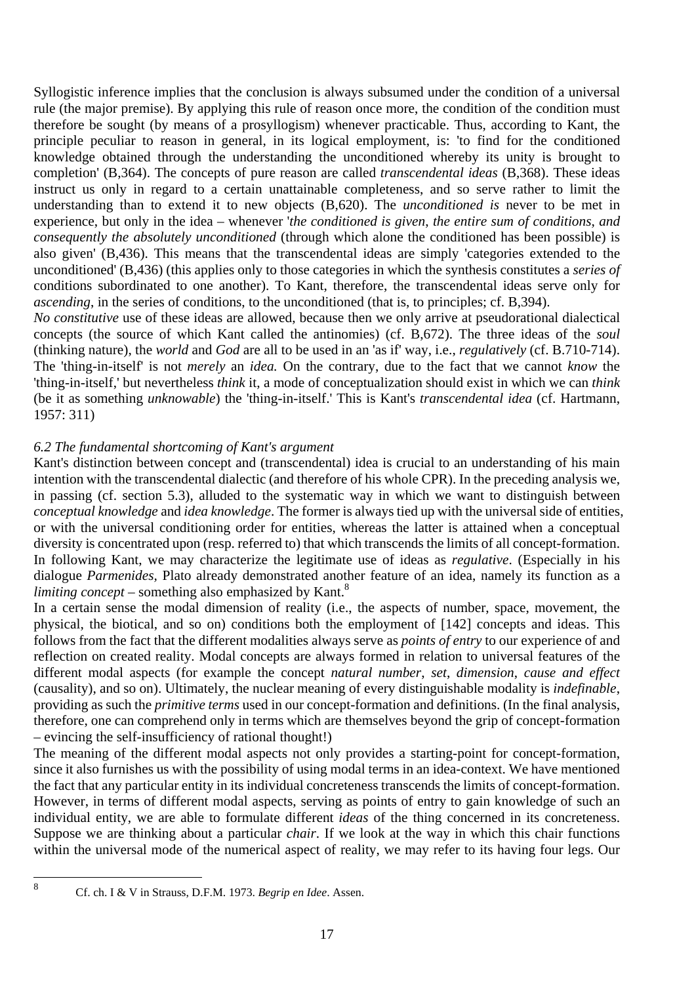Syllogistic inference implies that the conclusion is always subsumed under the condition of a universal rule (the major premise). By applying this rule of reason once more, the condition of the condition must therefore be sought (by means of a prosyllogism) whenever practicable. Thus, according to Kant, the principle peculiar to reason in general, in its logical employment, is: 'to find for the conditioned knowledge obtained through the understanding the unconditioned whereby its unity is brought to completion' (B,364). The concepts of pure reason are called *transcendental ideas* (B,368). These ideas instruct us only in regard to a certain unattainable completeness, and so serve rather to limit the understanding than to extend it to new objects (B,620). The *unconditioned is* never to be met in experience, but only in the idea – whenever '*the conditioned is given*, *the entire sum of conditions*, *and consequently the absolutely unconditioned* (through which alone the conditioned has been possible) is also given' (B,436). This means that the transcendental ideas are simply 'categories extended to the unconditioned' (B,436) (this applies only to those categories in which the synthesis constitutes a *series of*  conditions subordinated to one another). To Kant, therefore, the transcendental ideas serve only for *ascending*, in the series of conditions, to the unconditioned (that is, to principles; cf. B,394).

*No constitutive* use of these ideas are allowed, because then we only arrive at pseudorational dialectical concepts (the source of which Kant called the antinomies) (cf. B,672). The three ideas of the *soul*  (thinking nature), the *world* and *God* are all to be used in an 'as if' way, i.e., *regulatively* (cf. B.710-714). The 'thing-in-itself' is not *merely* an *idea.* On the contrary, due to the fact that we cannot *know* the 'thing-in-itself,' but nevertheless *think* it, a mode of conceptualization should exist in which we can *think*  (be it as something *unknowable*) the 'thing-in-itself.' This is Kant's *transcendental idea* (cf. Hartmann, 1957: 311)

## *6.2 The fundamental shortcoming of Kant's argument*

Kant's distinction between concept and (transcendental) idea is crucial to an understanding of his main intention with the transcendental dialectic (and therefore of his whole CPR). In the preceding analysis we, in passing (cf. section 5.3), alluded to the systematic way in which we want to distinguish between *conceptual knowledge* and *idea knowledge*. The former is always tied up with the universal side of entities, or with the universal conditioning order for entities, whereas the latter is attained when a conceptual diversity is concentrated upon (resp. referred to) that which transcends the limits of all concept-formation. In following Kant, we may characterize the legitimate use of ideas as *regulative*. (Especially in his dialogue *Parmenides,* Plato already demonstrated another feature of an idea, namely its function as a *limiting concept* – something also emphasized by Kant. $8$ 

In a certain sense the modal dimension of reality (i.e., the aspects of number, space, movement, the physical, the biotical, and so on) conditions both the employment of [142] concepts and ideas. This follows from the fact that the different modalities always serve as *points of entry* to our experience of and reflection on created reality. Modal concepts are always formed in relation to universal features of the different modal aspects (for example the concept *natural number*, *set*, *dimension*, *cause and effect*  (causality), and so on). Ultimately, the nuclear meaning of every distinguishable modality is *indefinable*, providing as such the *primitive terms* used in our concept-formation and definitions. (In the final analysis, therefore, one can comprehend only in terms which are themselves beyond the grip of concept-formation – evincing the self-insufficiency of rational thought!)

The meaning of the different modal aspects not only provides a starting-point for concept-formation, since it also furnishes us with the possibility of using modal terms in an idea-context. We have mentioned the fact that any particular entity in its individual concreteness transcends the limits of concept-formation. However, in terms of different modal aspects, serving as points of entry to gain knowledge of such an individual entity, we are able to formulate different *ideas* of the thing concerned in its concreteness. Suppose we are thinking about a particular *chair*. If we look at the way in which this chair functions within the universal mode of the numerical aspect of reality, we may refer to its having four legs. Our

 $\mathbf{R}$ 

<sup>8</sup> Cf. ch. I & V in Strauss, D.F.M. 1973. *Begrip en Idee*. Assen.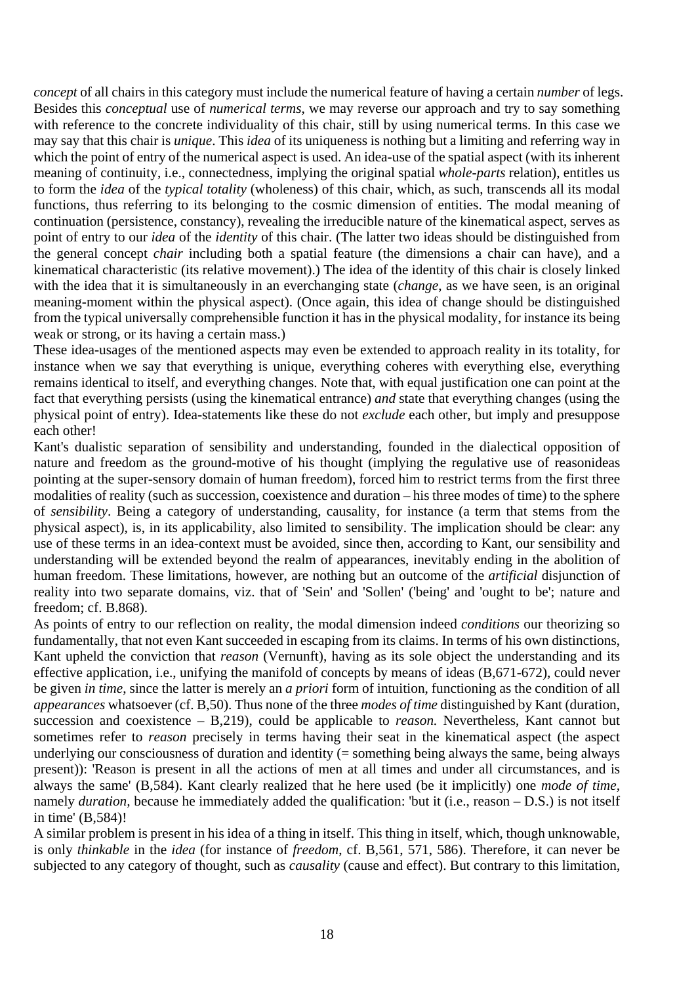*concept* of all chairs in this category must include the numerical feature of having a certain *number* of legs. Besides this *conceptual* use of *numerical terms*, we may reverse our approach and try to say something with reference to the concrete individuality of this chair, still by using numerical terms. In this case we may say that this chair is *unique*. This *idea* of its uniqueness is nothing but a limiting and referring way in which the point of entry of the numerical aspect is used. An idea-use of the spatial aspect (with its inherent meaning of continuity, i.e., connectedness, implying the original spatial *whole*-*parts* relation), entitles us to form the *idea* of the *typical totality* (wholeness) of this chair, which, as such, transcends all its modal functions, thus referring to its belonging to the cosmic dimension of entities. The modal meaning of continuation (persistence, constancy), revealing the irreducible nature of the kinematical aspect, serves as point of entry to our *idea* of the *identity* of this chair. (The latter two ideas should be distinguished from the general concept *chair* including both a spatial feature (the dimensions a chair can have), and a kinematical characteristic (its relative movement).) The idea of the identity of this chair is closely linked with the idea that it is simultaneously in an everchanging state (*change*, as we have seen, is an original meaning-moment within the physical aspect). (Once again, this idea of change should be distinguished from the typical universally comprehensible function it has in the physical modality, for instance its being weak or strong, or its having a certain mass.)

These idea-usages of the mentioned aspects may even be extended to approach reality in its totality, for instance when we say that everything is unique, everything coheres with everything else, everything remains identical to itself, and everything changes. Note that, with equal justification one can point at the fact that everything persists (using the kinematical entrance) *and* state that everything changes (using the physical point of entry). Idea-statements like these do not *exclude* each other, but imply and presuppose each other!

Kant's dualistic separation of sensibility and understanding, founded in the dialectical opposition of nature and freedom as the ground-motive of his thought (implying the regulative use of reasonideas pointing at the super-sensory domain of human freedom), forced him to restrict terms from the first three modalities of reality (such as succession, coexistence and duration – his three modes of time) to the sphere of *sensibility*. Being a category of understanding, causality, for instance (a term that stems from the physical aspect), is, in its applicability, also limited to sensibility. The implication should be clear: any use of these terms in an idea-context must be avoided, since then, according to Kant, our sensibility and understanding will be extended beyond the realm of appearances, inevitably ending in the abolition of human freedom. These limitations, however, are nothing but an outcome of the *artificial* disjunction of reality into two separate domains, viz. that of 'Sein' and 'Sollen' ('being' and 'ought to be'; nature and freedom; cf. B.868).

As points of entry to our reflection on reality, the modal dimension indeed *conditions* our theorizing so fundamentally, that not even Kant succeeded in escaping from its claims. In terms of his own distinctions, Kant upheld the conviction that *reason* (Vernunft), having as its sole object the understanding and its effective application, i.e., unifying the manifold of concepts by means of ideas (B,671-672), could never be given *in time*, since the latter is merely an *a priori* form of intuition, functioning as the condition of all *appearances* whatsoever (cf. B,50). Thus none of the three *modes of time* distinguished by Kant (duration, succession and coexistence – B,219), could be applicable to *reason.* Nevertheless, Kant cannot but sometimes refer to *reason* precisely in terms having their seat in the kinematical aspect (the aspect underlying our consciousness of duration and identity  $(=$  something being always the same, being always present)): 'Reason is present in all the actions of men at all times and under all circumstances, and is always the same' (B,584). Kant clearly realized that he here used (be it implicitly) one *mode of time,*  namely *duration,* because he immediately added the qualification: 'but it (i.e., reason – D.S.) is not itself in time' (B,584)!

A similar problem is present in his idea of a thing in itself. This thing in itself, which, though unknowable, is only *thinkable* in the *idea* (for instance of *freedom*, cf. B,561, 571, 586). Therefore, it can never be subjected to any category of thought, such as *causality* (cause and effect). But contrary to this limitation,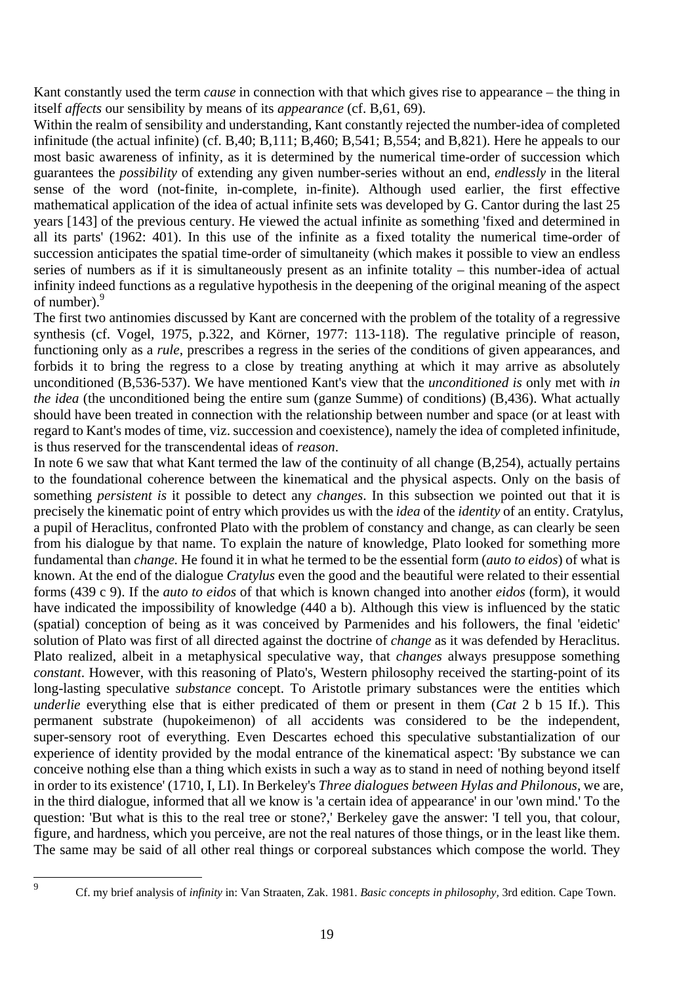Kant constantly used the term *cause* in connection with that which gives rise to appearance – the thing in itself *affects* our sensibility by means of its *appearance* (cf. B,61, 69).

Within the realm of sensibility and understanding, Kant constantly rejected the number-idea of completed infinitude (the actual infinite) (cf. B,40; B,111; B,460; B,541; B,554; and B,821). Here he appeals to our most basic awareness of infinity, as it is determined by the numerical time-order of succession which guarantees the *possibility* of extending any given number-series without an end, *endlessly* in the literal sense of the word (not-finite, in-complete, in-finite). Although used earlier, the first effective mathematical application of the idea of actual infinite sets was developed by G. Cantor during the last 25 years [143] of the previous century. He viewed the actual infinite as something 'fixed and determined in all its parts' (1962: 401). In this use of the infinite as a fixed totality the numerical time-order of succession anticipates the spatial time-order of simultaneity (which makes it possible to view an endless series of numbers as if it is simultaneously present as an infinite totality – this number-idea of actual infinity indeed functions as a regulative hypothesis in the deepening of the original meaning of the aspect of number).<sup>9</sup>

The first two antinomies discussed by Kant are concerned with the problem of the totality of a regressive synthesis (cf. Vogel, 1975, p.322, and Körner, 1977: 113-118). The regulative principle of reason, functioning only as a *rule*, prescribes a regress in the series of the conditions of given appearances, and forbids it to bring the regress to a close by treating anything at which it may arrive as absolutely unconditioned (B,536-537). We have mentioned Kant's view that the *unconditioned is* only met with *in the idea* (the unconditioned being the entire sum (ganze Summe) of conditions) (B,436). What actually should have been treated in connection with the relationship between number and space (or at least with regard to Kant's modes of time, viz. succession and coexistence), namely the idea of completed infinitude, is thus reserved for the transcendental ideas of *reason*.

In note 6 we saw that what Kant termed the law of the continuity of all change (B,254), actually pertains to the foundational coherence between the kinematical and the physical aspects. Only on the basis of something *persistent is* it possible to detect any *changes*. In this subsection we pointed out that it is precisely the kinematic point of entry which provides us with the *idea* of the *identity* of an entity. Cratylus, a pupil of Heraclitus, confronted Plato with the problem of constancy and change, as can clearly be seen from his dialogue by that name. To explain the nature of knowledge, Plato looked for something more fundamental than *change.* He found it in what he termed to be the essential form (*auto to eidos*) of what is known. At the end of the dialogue *Cratylus* even the good and the beautiful were related to their essential forms (439 c 9). If the *auto to eidos* of that which is known changed into another *eidos* (form), it would have indicated the impossibility of knowledge (440 a b). Although this view is influenced by the static (spatial) conception of being as it was conceived by Parmenides and his followers, the final 'eidetic' solution of Plato was first of all directed against the doctrine of *change* as it was defended by Heraclitus. Plato realized, albeit in a metaphysical speculative way, that *changes* always presuppose something *constant*. However, with this reasoning of Plato's, Western philosophy received the starting-point of its long-lasting speculative *substance* concept. To Aristotle primary substances were the entities which *underlie* everything else that is either predicated of them or present in them (*Cat* 2 b 15 If.). This permanent substrate (hupokeimenon) of all accidents was considered to be the independent, super-sensory root of everything. Even Descartes echoed this speculative substantialization of our experience of identity provided by the modal entrance of the kinematical aspect: 'By substance we can conceive nothing else than a thing which exists in such a way as to stand in need of nothing beyond itself in order to its existence' (1710, I, LI). In Berkeley's *Three dialogues between Hylas and Philonous*, we are, in the third dialogue, informed that all we know is 'a certain idea of appearance' in our 'own mind.' To the question: 'But what is this to the real tree or stone?,' Berkeley gave the answer: 'I tell you, that colour, figure, and hardness, which you perceive, are not the real natures of those things, or in the least like them. The same may be said of all other real things or corporeal substances which compose the world. They

 $\overline{9}$ 

<sup>9</sup> Cf. my brief analysis of *infinity* in: Van Straaten, Zak. 1981. *Basic concepts in philosophy,* 3rd edition. Cape Town.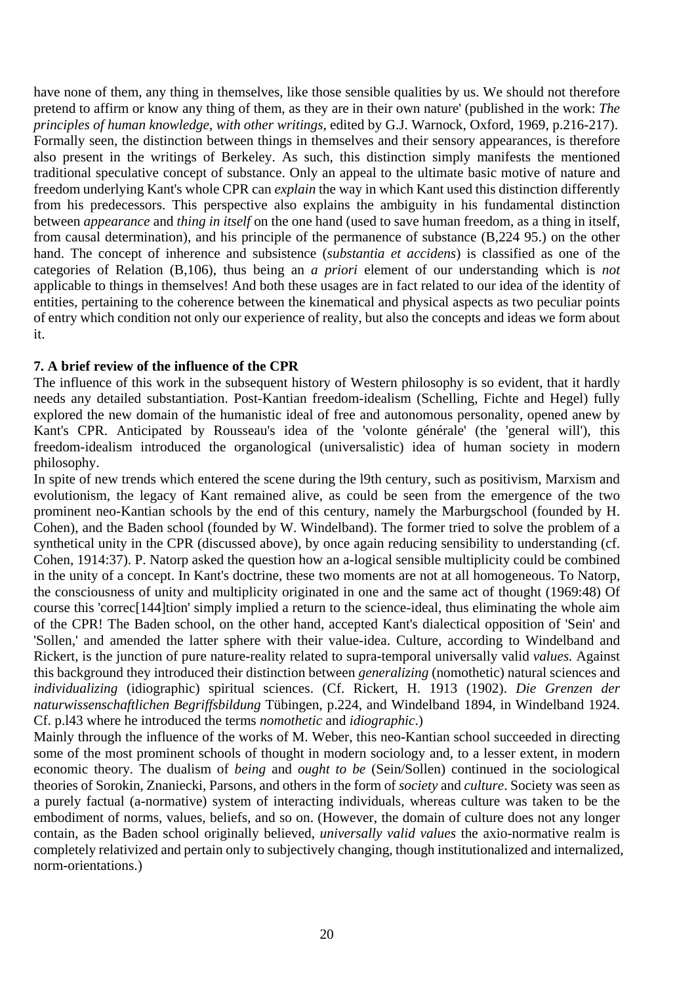have none of them, any thing in themselves, like those sensible qualities by us. We should not therefore pretend to affirm or know any thing of them, as they are in their own nature' (published in the work: *The principles of human knowledge*, *with other writings*, edited by G.J. Warnock, Oxford, 1969, p.216-217). Formally seen, the distinction between things in themselves and their sensory appearances, is therefore also present in the writings of Berkeley. As such, this distinction simply manifests the mentioned traditional speculative concept of substance. Only an appeal to the ultimate basic motive of nature and freedom underlying Kant's whole CPR can *explain* the way in which Kant used this distinction differently from his predecessors. This perspective also explains the ambiguity in his fundamental distinction between *appearance* and *thing in itself* on the one hand (used to save human freedom, as a thing in itself, from causal determination), and his principle of the permanence of substance (B,224 95.) on the other hand. The concept of inherence and subsistence (*substantia et accidens*) is classified as one of the categories of Relation (B,106), thus being an *a priori* element of our understanding which is *not*  applicable to things in themselves! And both these usages are in fact related to our idea of the identity of entities, pertaining to the coherence between the kinematical and physical aspects as two peculiar points of entry which condition not only our experience of reality, but also the concepts and ideas we form about it.

## **7. A brief review of the influence of the CPR**

The influence of this work in the subsequent history of Western philosophy is so evident, that it hardly needs any detailed substantiation. Post-Kantian freedom-idealism (Schelling, Fichte and Hegel) fully explored the new domain of the humanistic ideal of free and autonomous personality, opened anew by Kant's CPR. Anticipated by Rousseau's idea of the 'volonte générale' (the 'general will'), this freedom-idealism introduced the organological (universalistic) idea of human society in modern philosophy.

In spite of new trends which entered the scene during the l9th century, such as positivism, Marxism and evolutionism, the legacy of Kant remained alive, as could be seen from the emergence of the two prominent neo-Kantian schools by the end of this century, namely the Marburgschool (founded by H. Cohen), and the Baden school (founded by W. Windelband). The former tried to solve the problem of a synthetical unity in the CPR (discussed above), by once again reducing sensibility to understanding (cf. Cohen, 1914:37). P. Natorp asked the question how an a-logical sensible multiplicity could be combined in the unity of a concept. In Kant's doctrine, these two moments are not at all homogeneous. To Natorp, the consciousness of unity and multiplicity originated in one and the same act of thought (1969:48) Of course this 'correc[144]tion' simply implied a return to the science-ideal, thus eliminating the whole aim of the CPR! The Baden school, on the other hand, accepted Kant's dialectical opposition of 'Sein' and 'Sollen,' and amended the latter sphere with their value-idea. Culture, according to Windelband and Rickert, is the junction of pure nature-reality related to supra-temporal universally valid *values.* Against this background they introduced their distinction between *generalizing* (nomothetic) natural sciences and *individualizing* (idiographic) spiritual sciences. (Cf. Rickert, H. 1913 (1902). *Die Grenzen der naturwissenschaftlichen Begriffsbildung* Tübingen, p.224, and Windelband 1894, in Windelband 1924. Cf. p.l43 where he introduced the terms *nomothetic* and *idiographic*.)

Mainly through the influence of the works of M. Weber, this neo-Kantian school succeeded in directing some of the most prominent schools of thought in modern sociology and, to a lesser extent, in modern economic theory. The dualism of *being* and *ought to be* (Sein/Sollen) continued in the sociological theories of Sorokin, Znaniecki, Parsons, and others in the form of *society* and *culture*. Society was seen as a purely factual (a-normative) system of interacting individuals, whereas culture was taken to be the embodiment of norms, values, beliefs, and so on. (However, the domain of culture does not any longer contain, as the Baden school originally believed, *universally valid values* the axio-normative realm is completely relativized and pertain only to subjectively changing, though institutionalized and internalized, norm-orientations.)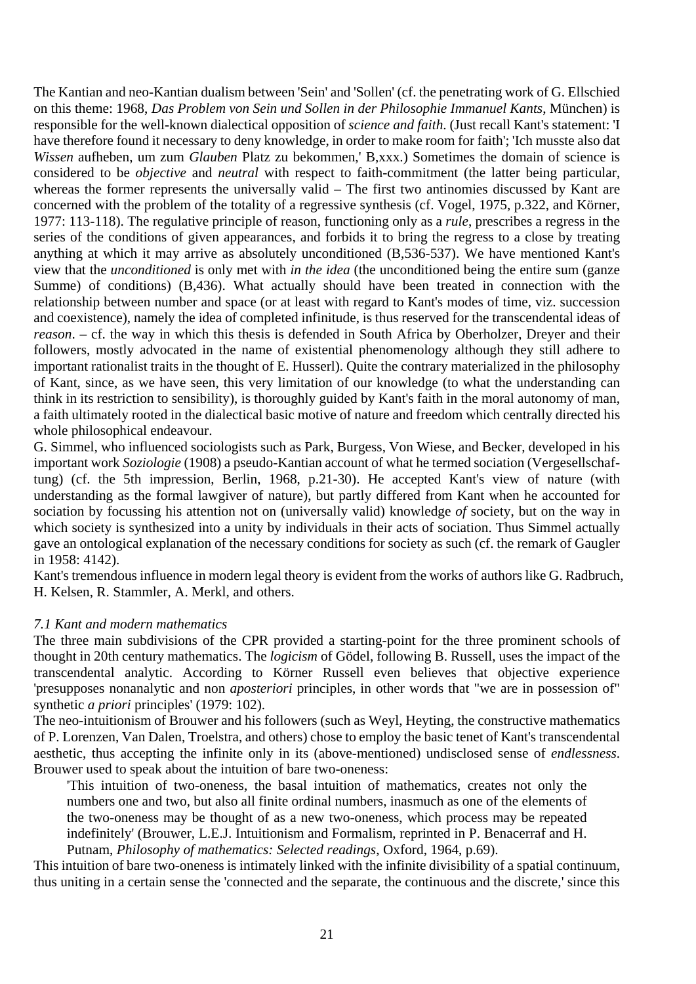The Kantian and neo-Kantian dualism between 'Sein' and 'Sollen' (cf. the penetrating work of G. Ellschied on this theme: 1968, *Das Problem von Sein und Sollen in der Philosophie Immanuel Kants*, München) is responsible for the well-known dialectical opposition of *science and faith*. (Just recall Kant's statement: 'I have therefore found it necessary to deny knowledge, in order to make room for faith'; 'Ich musste also dat *Wissen* aufheben, um zum *Glauben* Platz zu bekommen,' B,xxx.) Sometimes the domain of science is considered to be *objective* and *neutral* with respect to faith-commitment (the latter being particular, whereas the former represents the universally valid – The first two antinomies discussed by Kant are concerned with the problem of the totality of a regressive synthesis (cf. Vogel, 1975, p.322, and Körner, 1977: 113-118). The regulative principle of reason, functioning only as a *rule*, prescribes a regress in the series of the conditions of given appearances, and forbids it to bring the regress to a close by treating anything at which it may arrive as absolutely unconditioned (B,536-537). We have mentioned Kant's view that the *unconditioned* is only met with *in the idea* (the unconditioned being the entire sum (ganze Summe) of conditions) (B,436). What actually should have been treated in connection with the relationship between number and space (or at least with regard to Kant's modes of time, viz. succession and coexistence), namely the idea of completed infinitude, is thus reserved for the transcendental ideas of *reason*. – cf. the way in which this thesis is defended in South Africa by Oberholzer, Dreyer and their followers, mostly advocated in the name of existential phenomenology although they still adhere to important rationalist traits in the thought of E. Husserl). Quite the contrary materialized in the philosophy of Kant, since, as we have seen, this very limitation of our knowledge (to what the understanding can think in its restriction to sensibility), is thoroughly guided by Kant's faith in the moral autonomy of man, a faith ultimately rooted in the dialectical basic motive of nature and freedom which centrally directed his whole philosophical endeavour.

G. Simmel, who influenced sociologists such as Park, Burgess, Von Wiese, and Becker, developed in his important work *Soziologie* (1908) a pseudo-Kantian account of what he termed sociation (Vergesellschaftung) (cf. the 5th impression, Berlin, 1968, p.21-30). He accepted Kant's view of nature (with understanding as the formal lawgiver of nature), but partly differed from Kant when he accounted for sociation by focussing his attention not on (universally valid) knowledge *of* society, but on the way in which society is synthesized into a unity by individuals in their acts of sociation. Thus Simmel actually gave an ontological explanation of the necessary conditions for society as such (cf. the remark of Gaugler in 1958: 4142).

Kant's tremendous influence in modern legal theory is evident from the works of authors like G. Radbruch, H. Kelsen, R. Stammler, A. Merkl, and others.

## *7.1 Kant and modern mathematics*

The three main subdivisions of the CPR provided a starting-point for the three prominent schools of thought in 20th century mathematics. The *logicism* of Gödel, following B. Russell, uses the impact of the transcendental analytic. According to Körner Russell even believes that objective experience 'presupposes nonanalytic and non *aposteriori* principles, in other words that "we are in possession of" synthetic *a priori* principles' (1979: 102).

The neo-intuitionism of Brouwer and his followers (such as Weyl, Heyting, the constructive mathematics of P. Lorenzen, Van Dalen, Troelstra, and others) chose to employ the basic tenet of Kant's transcendental aesthetic, thus accepting the infinite only in its (above-mentioned) undisclosed sense of *endlessness*. Brouwer used to speak about the intuition of bare two-oneness:

'This intuition of two-oneness, the basal intuition of mathematics, creates not only the numbers one and two, but also all finite ordinal numbers, inasmuch as one of the elements of the two-oneness may be thought of as a new two-oneness, which process may be repeated indefinitely' (Brouwer, L.E.J. Intuitionism and Formalism, reprinted in P. Benacerraf and H. Putnam, *Philosophy of mathematics: Selected readings*, Oxford, 1964, p.69).

This intuition of bare two-oneness is intimately linked with the infinite divisibility of a spatial continuum, thus uniting in a certain sense the 'connected and the separate, the continuous and the discrete,' since this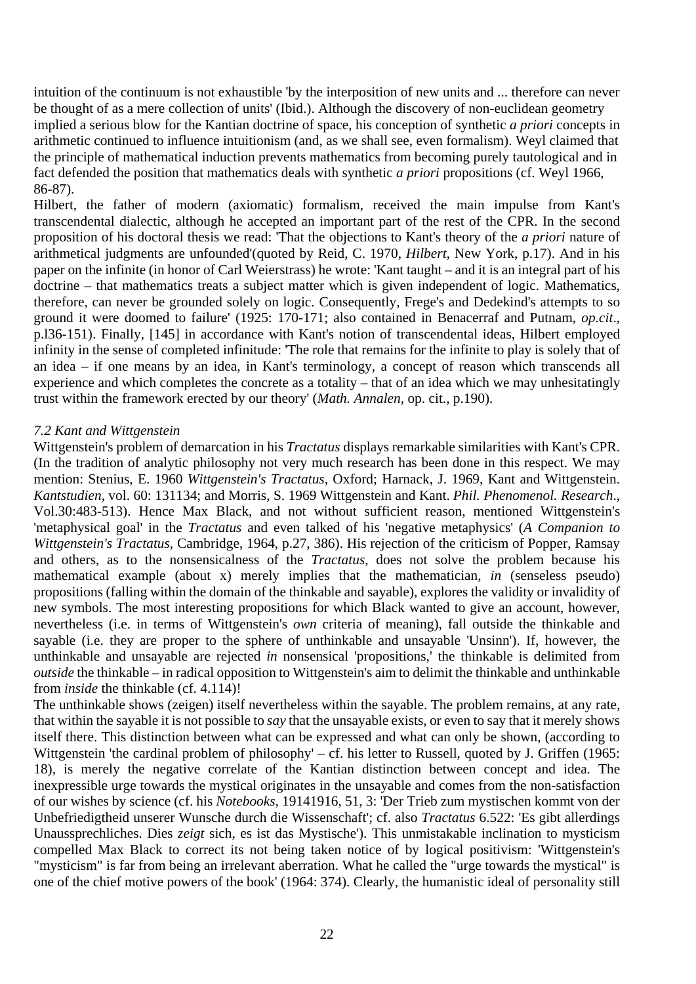intuition of the continuum is not exhaustible 'by the interposition of new units and ... therefore can never be thought of as a mere collection of units' (Ibid.). Although the discovery of non-euclidean geometry implied a serious blow for the Kantian doctrine of space, his conception of synthetic *a priori* concepts in arithmetic continued to influence intuitionism (and, as we shall see, even formalism). Weyl claimed that the principle of mathematical induction prevents mathematics from becoming purely tautological and in fact defended the position that mathematics deals with synthetic *a priori* propositions (cf. Weyl 1966, 86-87).

Hilbert, the father of modern (axiomatic) formalism, received the main impulse from Kant's transcendental dialectic, although he accepted an important part of the rest of the CPR. In the second proposition of his doctoral thesis we read: 'That the objections to Kant's theory of the *a priori* nature of arithmetical judgments are unfounded'(quoted by Reid, C. 1970, *Hilbert*, New York, p.17). And in his paper on the infinite (in honor of Carl Weierstrass) he wrote: 'Kant taught – and it is an integral part of his doctrine – that mathematics treats a subject matter which is given independent of logic. Mathematics, therefore, can never be grounded solely on logic. Consequently, Frege's and Dedekind's attempts to so ground it were doomed to failure' (1925: 170-171; also contained in Benacerraf and Putnam, *op.cit*., p.l36-151). Finally, [145] in accordance with Kant's notion of transcendental ideas, Hilbert employed infinity in the sense of completed infinitude: 'The role that remains for the infinite to play is solely that of an idea – if one means by an idea, in Kant's terminology, a concept of reason which transcends all experience and which completes the concrete as a totality – that of an idea which we may unhesitatingly trust within the framework erected by our theory' (*Math. Annalen*, op. cit., p.190).

## *7.2 Kant and Wittgenstein*

Wittgenstein's problem of demarcation in his *Tractatus* displays remarkable similarities with Kant's CPR. (In the tradition of analytic philosophy not very much research has been done in this respect. We may mention: Stenius, E. 1960 *Wittgenstein's Tractatus*, Oxford; Harnack, J. 1969, Kant and Wittgenstein. *Kantstudien*, vol. 60: 131134; and Morris, S. 1969 Wittgenstein and Kant. *Phil. Phenomenol. Research*., Vol.30:483-513). Hence Max Black, and not without sufficient reason, mentioned Wittgenstein's 'metaphysical goal' in the *Tractatus* and even talked of his 'negative metaphysics' (*A Companion to Wittgenstein's Tractatus*, Cambridge, 1964, p.27, 386). His rejection of the criticism of Popper, Ramsay and others, as to the nonsensicalness of the *Tractatus*, does not solve the problem because his mathematical example (about x) merely implies that the mathematician, *in* (senseless pseudo) propositions (falling within the domain of the thinkable and sayable), explores the validity or invalidity of new symbols. The most interesting propositions for which Black wanted to give an account, however, nevertheless (i.e. in terms of Wittgenstein's *own* criteria of meaning), fall outside the thinkable and sayable (i.e. they are proper to the sphere of unthinkable and unsayable 'Unsinn'). If, however, the unthinkable and unsayable are rejected *in* nonsensical 'propositions,' the thinkable is delimited from *outside* the thinkable – in radical opposition to Wittgenstein's aim to delimit the thinkable and unthinkable from *inside* the thinkable (cf. 4.114)!

The unthinkable shows (zeigen) itself nevertheless within the sayable. The problem remains, at any rate, that within the sayable it is not possible to *say* that the unsayable exists, or even to say that it merely shows itself there. This distinction between what can be expressed and what can only be shown, (according to Wittgenstein 'the cardinal problem of philosophy' – cf. his letter to Russell, quoted by J. Griffen (1965: 18), is merely the negative correlate of the Kantian distinction between concept and idea. The inexpressible urge towards the mystical originates in the unsayable and comes from the non-satisfaction of our wishes by science (cf. his *Notebooks,* 19141916, 51, 3: 'Der Trieb zum mystischen kommt von der Unbefriedigtheid unserer Wunsche durch die Wissenschaft'; cf. also *Tractatus* 6.522: 'Es gibt allerdings Unaussprechliches. Dies *zeigt* sich, es ist das Mystische'). This unmistakable inclination to mysticism compelled Max Black to correct its not being taken notice of by logical positivism: 'Wittgenstein's "mysticism" is far from being an irrelevant aberration. What he called the "urge towards the mystical" is one of the chief motive powers of the book' (1964: 374). Clearly, the humanistic ideal of personality still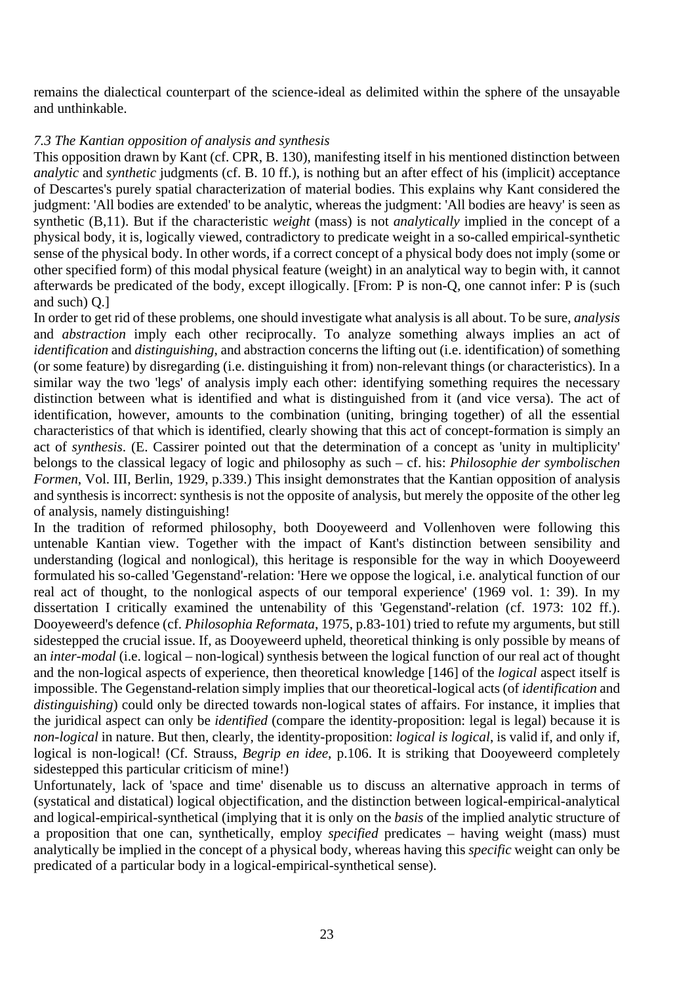remains the dialectical counterpart of the science-ideal as delimited within the sphere of the unsayable and unthinkable.

## *7.3 The Kantian opposition of analysis and synthesis*

This opposition drawn by Kant (cf. CPR, B. 130), manifesting itself in his mentioned distinction between *analytic* and *synthetic* judgments (cf. B. 10 ff.), is nothing but an after effect of his (implicit) acceptance of Descartes's purely spatial characterization of material bodies. This explains why Kant considered the judgment: 'All bodies are extended' to be analytic, whereas the judgment: 'All bodies are heavy' is seen as synthetic (B,11). But if the characteristic *weight* (mass) is not *analytically* implied in the concept of a physical body, it is, logically viewed, contradictory to predicate weight in a so-called empirical-synthetic sense of the physical body. In other words, if a correct concept of a physical body does not imply (some or other specified form) of this modal physical feature (weight) in an analytical way to begin with, it cannot afterwards be predicated of the body, except illogically. [From: P is non-Q, one cannot infer: P is (such and such) Q.]

In order to get rid of these problems, one should investigate what analysis is all about. To be sure, *analysis*  and *abstraction* imply each other reciprocally. To analyze something always implies an act of *identification* and *distinguishing*, and abstraction concerns the lifting out (i.e. identification) of something (or some feature) by disregarding (i.e. distinguishing it from) non-relevant things (or characteristics). In a similar way the two 'legs' of analysis imply each other: identifying something requires the necessary distinction between what is identified and what is distinguished from it (and vice versa). The act of identification, however, amounts to the combination (uniting, bringing together) of all the essential characteristics of that which is identified, clearly showing that this act of concept-formation is simply an act of *synthesis*. (E. Cassirer pointed out that the determination of a concept as 'unity in multiplicity' belongs to the classical legacy of logic and philosophy as such – cf. his: *Philosophie der symbolischen Formen*, Vol. III, Berlin, 1929, p.339.) This insight demonstrates that the Kantian opposition of analysis and synthesis is incorrect: synthesis is not the opposite of analysis, but merely the opposite of the other leg of analysis, namely distinguishing!

In the tradition of reformed philosophy, both Dooyeweerd and Vollenhoven were following this untenable Kantian view. Together with the impact of Kant's distinction between sensibility and understanding (logical and nonlogical), this heritage is responsible for the way in which Dooyeweerd formulated his so-called 'Gegenstand'-relation: 'Here we oppose the logical, i.e. analytical function of our real act of thought, to the nonlogical aspects of our temporal experience' (1969 vol. 1: 39). In my dissertation I critically examined the untenability of this 'Gegenstand'-relation (cf. 1973: 102 ff.). Dooyeweerd's defence (cf. *Philosophia Reformata*, 1975, p.83-101) tried to refute my arguments, but still sidestepped the crucial issue. If, as Dooyeweerd upheld, theoretical thinking is only possible by means of an *inter-modal* (i.e. logical – non-logical) synthesis between the logical function of our real act of thought and the non-logical aspects of experience, then theoretical knowledge [146] of the *logical* aspect itself is impossible. The Gegenstand-relation simply implies that our theoretical-logical acts (of *identification* and *distinguishing*) could only be directed towards non-logical states of affairs. For instance, it implies that the juridical aspect can only be *identified* (compare the identity-proposition: legal is legal) because it is *non-logical* in nature. But then, clearly, the identity-proposition: *logical is logical*, is valid if, and only if, logical is non-logical! (Cf. Strauss, *Begrip en idee*, p.106. It is striking that Dooyeweerd completely sidestepped this particular criticism of mine!)

Unfortunately, lack of 'space and time' disenable us to discuss an alternative approach in terms of (systatical and distatical) logical objectification, and the distinction between logical-empirical-analytical and logical-empirical-synthetical (implying that it is only on the *basis* of the implied analytic structure of a proposition that one can, synthetically, employ *specified* predicates – having weight (mass) must analytically be implied in the concept of a physical body, whereas having this *specific* weight can only be predicated of a particular body in a logical-empirical-synthetical sense).